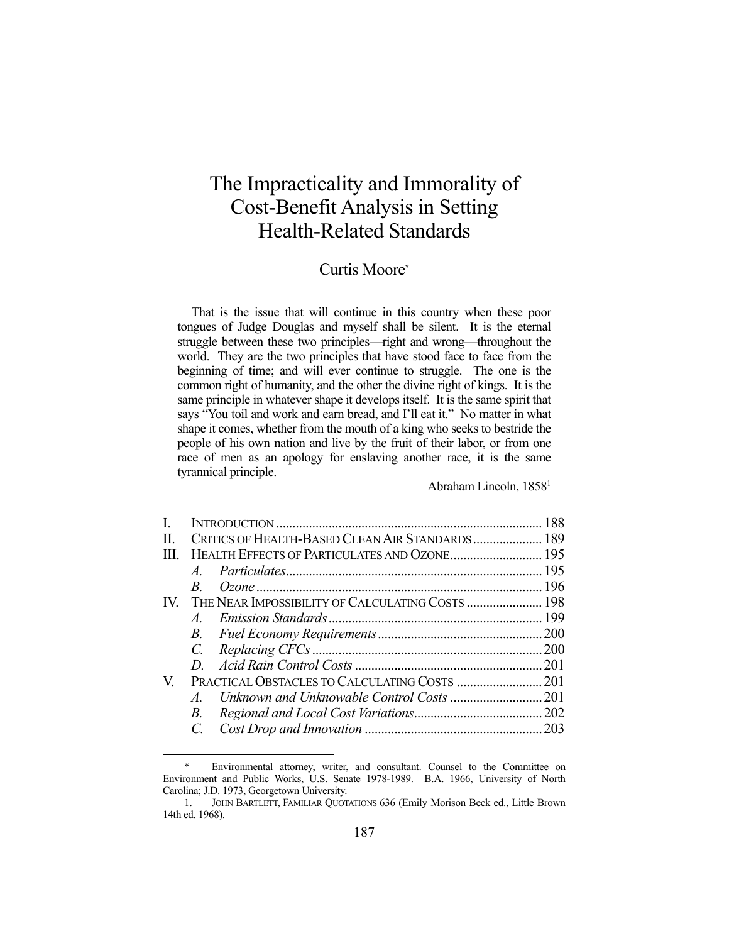# The Impracticality and Immorality of Cost-Benefit Analysis in Setting Health-Related Standards

## Curtis Moore\*

 That is the issue that will continue in this country when these poor tongues of Judge Douglas and myself shall be silent. It is the eternal struggle between these two principles—right and wrong—throughout the world. They are the two principles that have stood face to face from the beginning of time; and will ever continue to struggle. The one is the common right of humanity, and the other the divine right of kings. It is the same principle in whatever shape it develops itself. It is the same spirit that says "You toil and work and earn bread, and I'll eat it." No matter in what shape it comes, whether from the mouth of a king who seeks to bestride the people of his own nation and live by the fruit of their labor, or from one race of men as an apology for enslaving another race, it is the same tyrannical principle.

Abraham Lincoln, 18581

| CRITICS OF HEALTH-BASED CLEAN AIR STANDARDS 189 |                                                  |
|-------------------------------------------------|--------------------------------------------------|
|                                                 |                                                  |
|                                                 |                                                  |
| $B_{-}$                                         |                                                  |
|                                                 |                                                  |
| $A$ .                                           |                                                  |
|                                                 |                                                  |
|                                                 |                                                  |
| D.                                              |                                                  |
|                                                 |                                                  |
|                                                 |                                                  |
| B.                                              |                                                  |
|                                                 |                                                  |
|                                                 | THE NEAR IMPOSSIBILITY OF CALCULATING COSTS  198 |

 <sup>\*</sup> Environmental attorney, writer, and consultant. Counsel to the Committee on Environment and Public Works, U.S. Senate 1978-1989. B.A. 1966, University of North Carolina; J.D. 1973, Georgetown University.

 <sup>1.</sup> JOHN BARTLETT, FAMILIAR QUOTATIONS 636 (Emily Morison Beck ed., Little Brown 14th ed. 1968).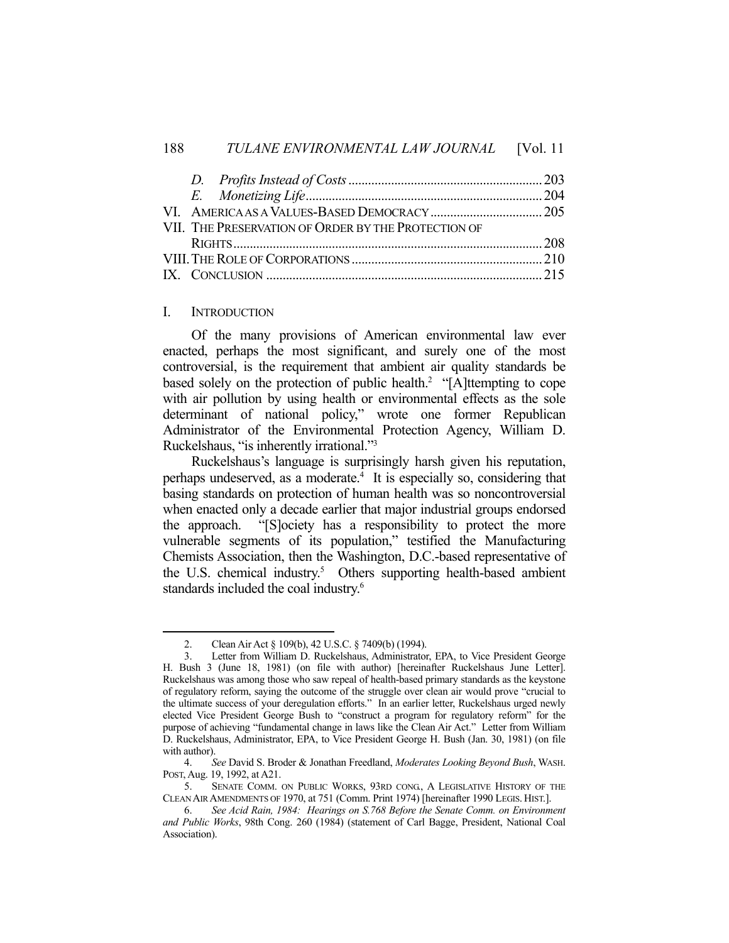| VII. THE PRESERVATION OF ORDER BY THE PROTECTION OF |  |
|-----------------------------------------------------|--|
|                                                     |  |
|                                                     |  |
|                                                     |  |

#### I. INTRODUCTION

1

 Of the many provisions of American environmental law ever enacted, perhaps the most significant, and surely one of the most controversial, is the requirement that ambient air quality standards be based solely on the protection of public health.<sup>2</sup> "[A]ttempting to cope with air pollution by using health or environmental effects as the sole determinant of national policy," wrote one former Republican Administrator of the Environmental Protection Agency, William D. Ruckelshaus, "is inherently irrational."3

 Ruckelshaus's language is surprisingly harsh given his reputation, perhaps undeserved, as a moderate.<sup>4</sup> It is especially so, considering that basing standards on protection of human health was so noncontroversial when enacted only a decade earlier that major industrial groups endorsed the approach. "[S]ociety has a responsibility to protect the more vulnerable segments of its population," testified the Manufacturing Chemists Association, then the Washington, D.C.-based representative of the U.S. chemical industry.<sup>5</sup> Others supporting health-based ambient standards included the coal industry.6

 <sup>2.</sup> Clean Air Act § 109(b), 42 U.S.C. § 7409(b) (1994).

 <sup>3.</sup> Letter from William D. Ruckelshaus, Administrator, EPA, to Vice President George H. Bush 3 (June 18, 1981) (on file with author) [hereinafter Ruckelshaus June Letter]. Ruckelshaus was among those who saw repeal of health-based primary standards as the keystone of regulatory reform, saying the outcome of the struggle over clean air would prove "crucial to the ultimate success of your deregulation efforts." In an earlier letter, Ruckelshaus urged newly elected Vice President George Bush to "construct a program for regulatory reform" for the purpose of achieving "fundamental change in laws like the Clean Air Act." Letter from William D. Ruckelshaus, Administrator, EPA, to Vice President George H. Bush (Jan. 30, 1981) (on file with author).

 <sup>4.</sup> *See* David S. Broder & Jonathan Freedland, *Moderates Looking Beyond Bush*, WASH. POST, Aug. 19, 1992, at A21.

 <sup>5.</sup> SENATE COMM. ON PUBLIC WORKS, 93RD CONG., A LEGISLATIVE HISTORY OF THE CLEAN AIR AMENDMENTS OF 1970, at 751 (Comm. Print 1974) [hereinafter 1990 LEGIS. HIST.].

 <sup>6.</sup> *See Acid Rain, 1984: Hearings on S.768 Before the Senate Comm. on Environment and Public Works*, 98th Cong. 260 (1984) (statement of Carl Bagge, President, National Coal Association).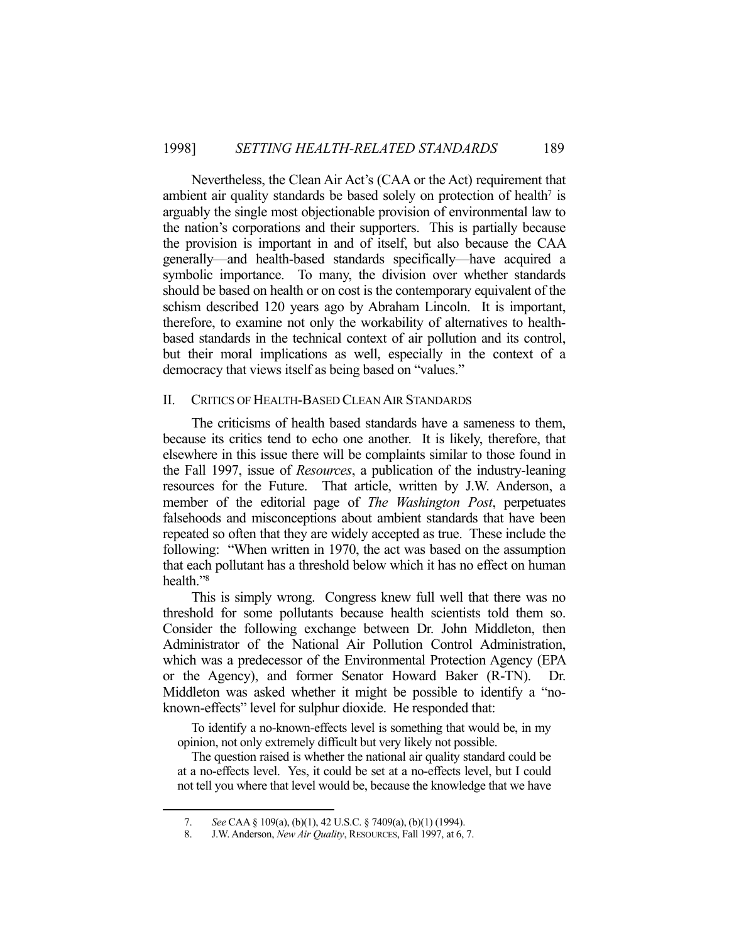Nevertheless, the Clean Air Act's (CAA or the Act) requirement that ambient air quality standards be based solely on protection of health<sup>7</sup> is arguably the single most objectionable provision of environmental law to the nation's corporations and their supporters. This is partially because the provision is important in and of itself, but also because the CAA generally—and health-based standards specifically—have acquired a symbolic importance. To many, the division over whether standards should be based on health or on cost is the contemporary equivalent of the schism described 120 years ago by Abraham Lincoln. It is important, therefore, to examine not only the workability of alternatives to healthbased standards in the technical context of air pollution and its control, but their moral implications as well, especially in the context of a democracy that views itself as being based on "values."

## II. CRITICS OF HEALTH-BASED CLEAN AIR STANDARDS

 The criticisms of health based standards have a sameness to them, because its critics tend to echo one another. It is likely, therefore, that elsewhere in this issue there will be complaints similar to those found in the Fall 1997, issue of *Resources*, a publication of the industry-leaning resources for the Future. That article, written by J.W. Anderson, a member of the editorial page of *The Washington Post*, perpetuates falsehoods and misconceptions about ambient standards that have been repeated so often that they are widely accepted as true. These include the following: "When written in 1970, the act was based on the assumption that each pollutant has a threshold below which it has no effect on human health."8

 This is simply wrong. Congress knew full well that there was no threshold for some pollutants because health scientists told them so. Consider the following exchange between Dr. John Middleton, then Administrator of the National Air Pollution Control Administration, which was a predecessor of the Environmental Protection Agency (EPA or the Agency), and former Senator Howard Baker (R-TN). Dr. Middleton was asked whether it might be possible to identify a "noknown-effects" level for sulphur dioxide. He responded that:

 To identify a no-known-effects level is something that would be, in my opinion, not only extremely difficult but very likely not possible.

 The question raised is whether the national air quality standard could be at a no-effects level. Yes, it could be set at a no-effects level, but I could not tell you where that level would be, because the knowledge that we have

 <sup>7.</sup> *See* CAA § 109(a), (b)(1), 42 U.S.C. § 7409(a), (b)(1) (1994).

 <sup>8.</sup> J.W. Anderson, *New Air Quality*, RESOURCES, Fall 1997, at 6, 7.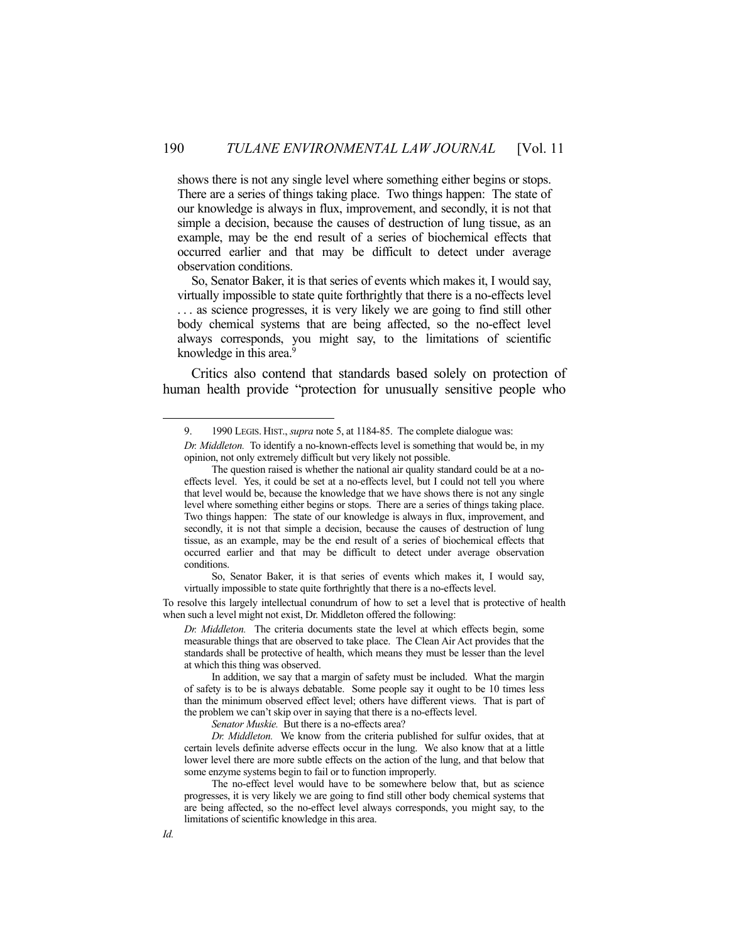shows there is not any single level where something either begins or stops. There are a series of things taking place. Two things happen: The state of our knowledge is always in flux, improvement, and secondly, it is not that simple a decision, because the causes of destruction of lung tissue, as an example, may be the end result of a series of biochemical effects that occurred earlier and that may be difficult to detect under average observation conditions.

 So, Senator Baker, it is that series of events which makes it, I would say, virtually impossible to state quite forthrightly that there is a no-effects level . . . as science progresses, it is very likely we are going to find still other body chemical systems that are being affected, so the no-effect level always corresponds, you might say, to the limitations of scientific knowledge in this area.<sup>9</sup>

 Critics also contend that standards based solely on protection of human health provide "protection for unusually sensitive people who

To resolve this largely intellectual conundrum of how to set a level that is protective of health when such a level might not exist, Dr. Middleton offered the following:

*Dr. Middleton.* The criteria documents state the level at which effects begin, some measurable things that are observed to take place. The Clean Air Act provides that the standards shall be protective of health, which means they must be lesser than the level at which this thing was observed.

Senator Muskie. But there is a no-effects area?

 <sup>9. 1990</sup> LEGIS. HIST., *supra* note 5, at 1184-85. The complete dialogue was:

*Dr. Middleton.* To identify a no-known-effects level is something that would be, in my opinion, not only extremely difficult but very likely not possible.

The question raised is whether the national air quality standard could be at a noeffects level. Yes, it could be set at a no-effects level, but I could not tell you where that level would be, because the knowledge that we have shows there is not any single level where something either begins or stops. There are a series of things taking place. Two things happen: The state of our knowledge is always in flux, improvement, and secondly, it is not that simple a decision, because the causes of destruction of lung tissue, as an example, may be the end result of a series of biochemical effects that occurred earlier and that may be difficult to detect under average observation conditions.

So, Senator Baker, it is that series of events which makes it, I would say, virtually impossible to state quite forthrightly that there is a no-effects level.

In addition, we say that a margin of safety must be included. What the margin of safety is to be is always debatable. Some people say it ought to be 10 times less than the minimum observed effect level; others have different views. That is part of the problem we can't skip over in saying that there is a no-effects level.

*Dr. Middleton.* We know from the criteria published for sulfur oxides, that at certain levels definite adverse effects occur in the lung. We also know that at a little lower level there are more subtle effects on the action of the lung, and that below that some enzyme systems begin to fail or to function improperly.

The no-effect level would have to be somewhere below that, but as science progresses, it is very likely we are going to find still other body chemical systems that are being affected, so the no-effect level always corresponds, you might say, to the limitations of scientific knowledge in this area.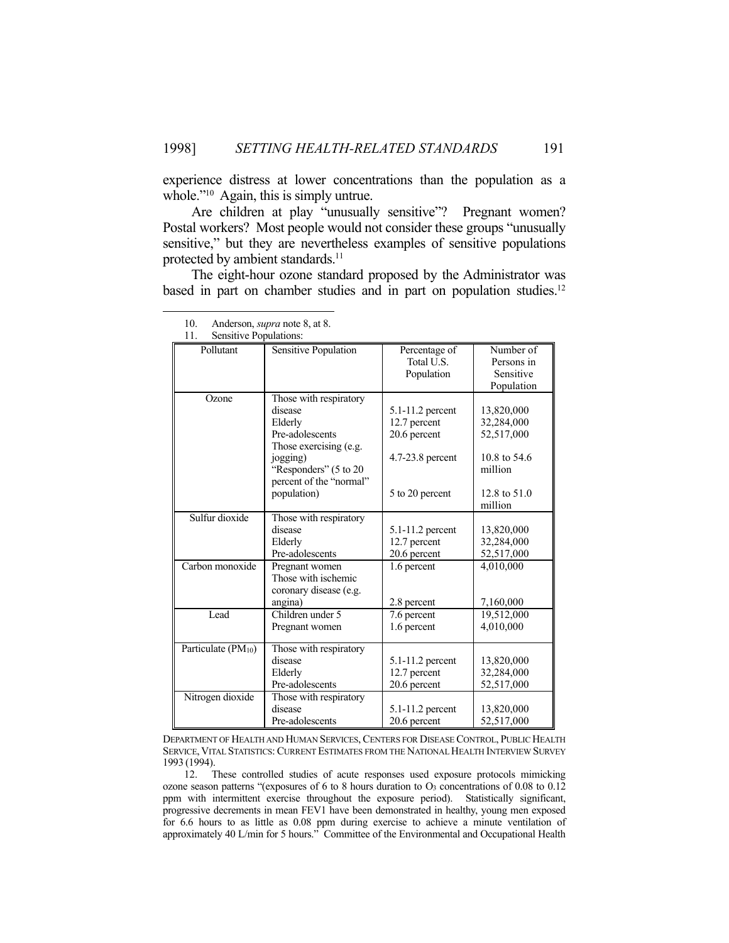experience distress at lower concentrations than the population as a whole."<sup>10</sup> Again, this is simply untrue.

 Are children at play "unusually sensitive"? Pregnant women? Postal workers? Most people would not consider these groups "unusually sensitive," but they are nevertheless examples of sensitive populations protected by ambient standards.<sup>11</sup>

 The eight-hour ozone standard proposed by the Administrator was based in part on chamber studies and in part on population studies.<sup>12</sup>

| Pollutant          | Sensitive Population                  | Percentage of        | Number of    |
|--------------------|---------------------------------------|----------------------|--------------|
|                    |                                       | Total U.S.           | Persons in   |
|                    |                                       | Population           | Sensitive    |
|                    |                                       |                      | Population   |
| Ozone              | Those with respiratory                |                      |              |
|                    | disease                               | 5.1-11.2 percent     | 13,820,000   |
|                    | Elderly                               | 12.7 percent         | 32,284,000   |
|                    | Pre-adolescents                       | 20.6 percent         | 52,517,000   |
|                    | Those exercising (e.g.                |                      |              |
|                    | jogging)                              | 4.7-23.8 percent     | 10.8 to 54.6 |
|                    | "Responders" (5 to 20                 |                      | million      |
|                    | percent of the "normal"               |                      |              |
|                    | population)                           | 5 to 20 percent      | 12.8 to 51.0 |
|                    |                                       |                      | million      |
| Sulfur dioxide     | Those with respiratory                |                      |              |
|                    | disease                               | $5.1 - 11.2$ percent | 13,820,000   |
|                    | Elderly                               | 12.7 percent         | 32,284,000   |
|                    | Pre-adolescents                       | 20.6 percent         | 52,517,000   |
| Carbon monoxide    |                                       |                      | 4,010,000    |
|                    | Pregnant women<br>Those with ischemic | 1.6 percent          |              |
|                    |                                       |                      |              |
|                    | coronary disease (e.g.                |                      |              |
|                    | angina)                               | 2.8 percent          | 7,160,000    |
| Lead               | Children under $\overline{5}$         | 7.6 percent          | 19,512,000   |
|                    | Pregnant women                        | 1.6 percent          | 4,010,000    |
| Particulate (PM10) | Those with respiratory                |                      |              |
|                    | disease                               | 5.1-11.2 percent     | 13,820,000   |
|                    | Elderly                               | 12.7 percent         | 32,284,000   |
|                    | Pre-adolescents                       | 20.6 percent         | 52,517,000   |
| Nitrogen dioxide   | Those with respiratory                |                      |              |
|                    | disease                               | 5.1-11.2 percent     | 13,820,000   |
|                    | Pre-adolescents                       | 20.6 percent         | 52,517,000   |

10. Anderson, *supra* note 8, at 8.

11. Sensitive Populations:

<u>.</u>

DEPARTMENT OF HEALTH AND HUMAN SERVICES, CENTERS FOR DISEASE CONTROL, PUBLIC HEALTH SERVICE, VITAL STATISTICS: CURRENT ESTIMATES FROM THE NATIONAL HEALTH INTERVIEW SURVEY 1993 (1994).

 12. These controlled studies of acute responses used exposure protocols mimicking ozone season patterns "(exposures of 6 to 8 hours duration to  $O_3$  concentrations of 0.08 to 0.12 ppm with intermittent exercise throughout the exposure period). Statistically significant, progressive decrements in mean FEV1 have been demonstrated in healthy, young men exposed for 6.6 hours to as little as 0.08 ppm during exercise to achieve a minute ventilation of approximately 40 L/min for 5 hours." Committee of the Environmental and Occupational Health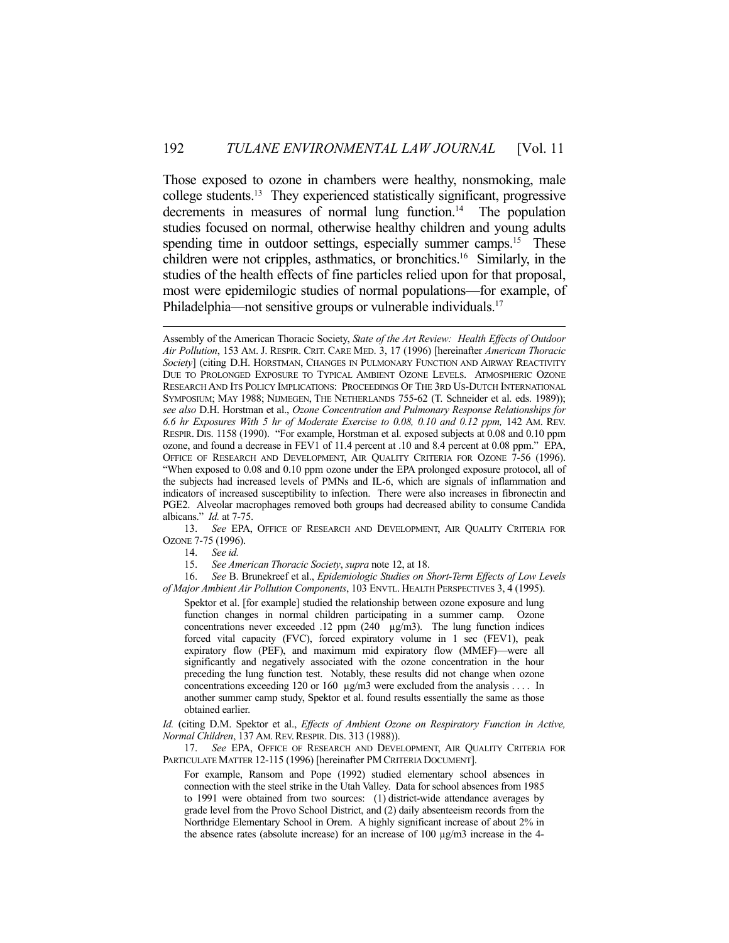Those exposed to ozone in chambers were healthy, nonsmoking, male college students.13 They experienced statistically significant, progressive decrements in measures of normal lung function.<sup>14</sup> The population studies focused on normal, otherwise healthy children and young adults spending time in outdoor settings, especially summer camps.<sup>15</sup> These children were not cripples, asthmatics, or bronchitics.16 Similarly, in the studies of the health effects of fine particles relied upon for that proposal, most were epidemilogic studies of normal populations—for example, of Philadelphia—not sensitive groups or vulnerable individuals.<sup>17</sup>

 13. *See* EPA, OFFICE OF RESEARCH AND DEVELOPMENT, AIR QUALITY CRITERIA FOR OZONE 7-75 (1996).

14. *See id.*

15. *See American Thoracic Society*, *supra* note 12, at 18.

 16. *See* B. Brunekreef et al., *Epidemiologic Studies on Short-Term Effects of Low Levels of Major Ambient Air Pollution Components*, 103 ENVTL. HEALTH PERSPECTIVES 3, 4 (1995).

Spektor et al. [for example] studied the relationship between ozone exposure and lung function changes in normal children participating in a summer camp. Ozone concentrations never exceeded .12 ppm (240 µg/m3). The lung function indices forced vital capacity (FVC), forced expiratory volume in 1 sec (FEV1), peak expiratory flow (PEF), and maximum mid expiratory flow (MMEF)—were all significantly and negatively associated with the ozone concentration in the hour preceding the lung function test. Notably, these results did not change when ozone concentrations exceeding 120 or 160 µg/m3 were excluded from the analysis . . . . In another summer camp study, Spektor et al. found results essentially the same as those obtained earlier.

*Id.* (citing D.M. Spektor et al., *Effects of Ambient Ozone on Respiratory Function in Active, Normal Children*, 137 AM.REV.RESPIR. DIS. 313 (1988)).

 17. *See* EPA, OFFICE OF RESEARCH AND DEVELOPMENT, AIR QUALITY CRITERIA FOR PARTICULATE MATTER 12-115 (1996) [hereinafter PM CRITERIA DOCUMENT].

For example, Ransom and Pope (1992) studied elementary school absences in connection with the steel strike in the Utah Valley. Data for school absences from 1985 to 1991 were obtained from two sources: (1) district-wide attendance averages by grade level from the Provo School District, and (2) daily absenteeism records from the Northridge Elementary School in Orem. A highly significant increase of about 2% in the absence rates (absolute increase) for an increase of 100 µg/m3 increase in the 4-

Assembly of the American Thoracic Society, *State of the Art Review: Health Effects of Outdoor Air Pollution*, 153 AM. J. RESPIR. CRIT. CARE MED. 3, 17 (1996) [hereinafter *American Thoracic Society*] (citing D.H. HORSTMAN, CHANGES IN PULMONARY FUNCTION AND AIRWAY REACTIVITY DUE TO PROLONGED EXPOSURE TO TYPICAL AMBIENT OZONE LEVELS. ATMOSPHERIC OZONE RESEARCH AND ITS POLICY IMPLICATIONS: PROCEEDINGS OF THE 3RD US-DUTCH INTERNATIONAL SYMPOSIUM; MAY 1988; NIJMEGEN, THE NETHERLANDS 755-62 (T. Schneider et al. eds. 1989)); *see also* D.H. Horstman et al., *Ozone Concentration and Pulmonary Response Relationships for 6.6 hr Exposures With 5 hr of Moderate Exercise to 0.08, 0.10 and 0.12 ppm,* 142 AM. REV. RESPIR. DIS. 1158 (1990). "For example, Horstman et al. exposed subjects at 0.08 and 0.10 ppm ozone, and found a decrease in FEV1 of 11.4 percent at .10 and 8.4 percent at 0.08 ppm." EPA, OFFICE OF RESEARCH AND DEVELOPMENT, AIR QUALITY CRITERIA FOR OZONE 7-56 (1996). "When exposed to 0.08 and 0.10 ppm ozone under the EPA prolonged exposure protocol, all of the subjects had increased levels of PMNs and IL-6, which are signals of inflammation and indicators of increased susceptibility to infection. There were also increases in fibronectin and PGE2. Alveolar macrophages removed both groups had decreased ability to consume Candida albicans." *Id.* at 7-75.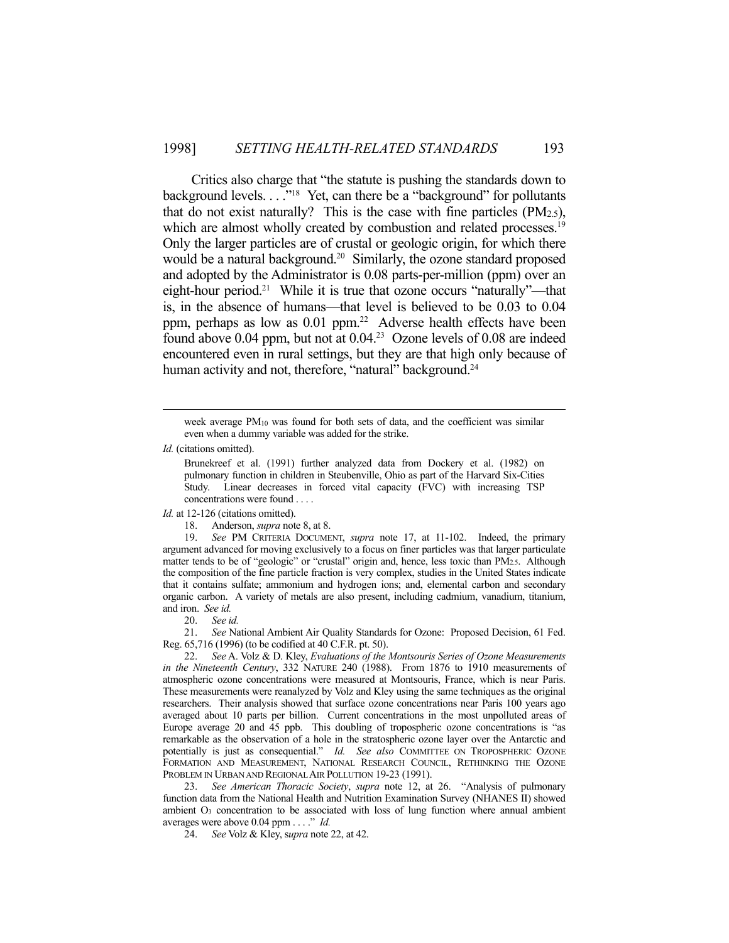Critics also charge that "the statute is pushing the standards down to background levels.  $\ldots$ <sup>"18</sup> Yet, can there be a "background" for pollutants that do not exist naturally? This is the case with fine particles  $(PM_{2.5})$ , which are almost wholly created by combustion and related processes.<sup>19</sup> Only the larger particles are of crustal or geologic origin, for which there would be a natural background.<sup>20</sup> Similarly, the ozone standard proposed and adopted by the Administrator is 0.08 parts-per-million (ppm) over an eight-hour period.<sup>21</sup> While it is true that ozone occurs "naturally"—that is, in the absence of humans—that level is believed to be 0.03 to 0.04 ppm, perhaps as low as 0.01 ppm.22 Adverse health effects have been found above  $0.04$  ppm, but not at  $0.04<sup>23</sup>$  Ozone levels of  $0.08$  are indeed encountered even in rural settings, but they are that high only because of human activity and not, therefore, "natural" background.<sup>24</sup>

*Id.* (citations omitted).

*Id.* at 12-126 (citations omitted).

18. Anderson, *supra* note 8, at 8.

 19. *See* PM CRITERIA DOCUMENT, *supra* note 17, at 11-102. Indeed, the primary argument advanced for moving exclusively to a focus on finer particles was that larger particulate matter tends to be of "geologic" or "crustal" origin and, hence, less toxic than PM2.5. Although the composition of the fine particle fraction is very complex, studies in the United States indicate that it contains sulfate; ammonium and hydrogen ions; and, elemental carbon and secondary organic carbon. A variety of metals are also present, including cadmium, vanadium, titanium, and iron. *See id.*

20. *See id.*

 21. *See* National Ambient Air Quality Standards for Ozone: Proposed Decision, 61 Fed. Reg. 65,716 (1996) (to be codified at 40 C.F.R. pt. 50).

 22. *See* A. Volz & D. Kley, *Evaluations of the Montsouris Series of Ozone Measurements in the Nineteenth Century*, 332 NATURE 240 (1988). From 1876 to 1910 measurements of atmospheric ozone concentrations were measured at Montsouris, France, which is near Paris. These measurements were reanalyzed by Volz and Kley using the same techniques as the original researchers. Their analysis showed that surface ozone concentrations near Paris 100 years ago averaged about 10 parts per billion. Current concentrations in the most unpolluted areas of Europe average 20 and 45 ppb. This doubling of tropospheric ozone concentrations is "as remarkable as the observation of a hole in the stratospheric ozone layer over the Antarctic and potentially is just as consequential." *Id. See also* COMMITTEE ON TROPOSPHERIC OZONE FORMATION AND MEASUREMENT, NATIONAL RESEARCH COUNCIL, RETHINKING THE OZONE PROBLEM IN URBAN AND REGIONAL AIR POLLUTION 19-23 (1991).

 23. *See American Thoracic Society*, *supra* note 12, at 26. "Analysis of pulmonary function data from the National Health and Nutrition Examination Survey (NHANES II) showed ambient O3 concentration to be associated with loss of lung function where annual ambient averages were above 0.04 ppm . . . ." *Id.*

24. *See* Volz & Kley, s*upra* note 22, at 42.

week average PM<sub>10</sub> was found for both sets of data, and the coefficient was similar even when a dummy variable was added for the strike.

Brunekreef et al. (1991) further analyzed data from Dockery et al. (1982) on pulmonary function in children in Steubenville, Ohio as part of the Harvard Six-Cities Study. Linear decreases in forced vital capacity (FVC) with increasing TSP concentrations were found . . . .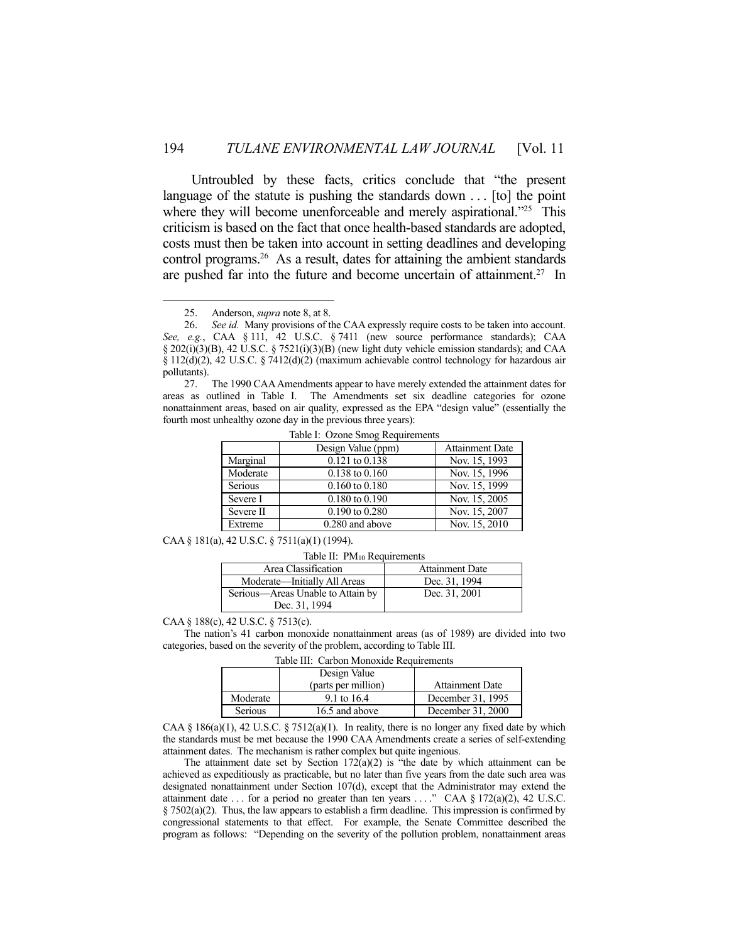Untroubled by these facts, critics conclude that "the present language of the statute is pushing the standards down . . . [to] the point where they will become unenforceable and merely aspirational."<sup>25</sup> This criticism is based on the fact that once health-based standards are adopted, costs must then be taken into account in setting deadlines and developing control programs.26 As a result, dates for attaining the ambient standards are pushed far into the future and become uncertain of attainment.<sup>27</sup> In

1

 27. The 1990 CAA Amendments appear to have merely extended the attainment dates for areas as outlined in Table I. The Amendments set six deadline categories for ozone nonattainment areas, based on air quality, expressed as the EPA "design value" (essentially the fourth most unhealthy ozone day in the previous three years):

|                | Design Value (ppm) | <b>Attainment Date</b> |
|----------------|--------------------|------------------------|
| Marginal       | $0.121$ to $0.138$ | Nov. 15, 1993          |
| Moderate       | $0.138$ to $0.160$ | Nov. 15, 1996          |
| <b>Serious</b> | $0.160$ to $0.180$ | Nov. 15, 1999          |
| Severe I       | $0.180$ to $0.190$ | Nov. 15, 2005          |
| Severe II      | $0.190$ to $0.280$ | Nov. 15, 2007          |
| Extreme        | 0.280 and above    | Nov. 15, 2010          |

Table I: Ozone Smog Requirements

CAA § 181(a), 42 U.S.C. § 7511(a)(1) (1994).

Table II: PM10 Requirements

| Area Classification               | Attainment Date |
|-----------------------------------|-----------------|
| Moderate—Initially All Areas      | Dec. 31, 1994   |
| Serious—Areas Unable to Attain by | Dec. 31, 2001   |
| Dec. 31, 1994                     |                 |

CAA § 188(c), 42 U.S.C. § 7513(c).

 The nation's 41 carbon monoxide nonattainment areas (as of 1989) are divided into two categories, based on the severity of the problem, according to Table III.

Table III: Carbon Monoxide Requirements

| 18010 1111 - Caroon Mondanee Registrations |                     |                   |  |
|--------------------------------------------|---------------------|-------------------|--|
|                                            | Design Value        |                   |  |
|                                            | (parts per million) | Attainment Date   |  |
| Moderate                                   | 9.1 to 16.4         | December 31, 1995 |  |
| <b>Serious</b>                             | 16.5 and above      | December 31, 2000 |  |

CAA § 186(a)(1), 42 U.S.C. § 7512(a)(1). In reality, there is no longer any fixed date by which the standards must be met because the 1990 CAA Amendments create a series of self-extending attainment dates. The mechanism is rather complex but quite ingenious.

The attainment date set by Section  $172(a)(2)$  is "the date by which attainment can be achieved as expeditiously as practicable, but no later than five years from the date such area was designated nonattainment under Section 107(d), except that the Administrator may extend the attainment date ... for a period no greater than ten years ...." CAA § 172(a)(2), 42 U.S.C.  $§ 7502(a)(2)$ . Thus, the law appears to establish a firm deadline. This impression is confirmed by congressional statements to that effect. For example, the Senate Committee described the program as follows: "Depending on the severity of the pollution problem, nonattainment areas

 <sup>25.</sup> Anderson, *supra* note 8, at 8.

 <sup>26.</sup> *See id.* Many provisions of the CAA expressly require costs to be taken into account. *See, e.g.*, CAA § 111, 42 U.S.C. § 7411 (new source performance standards); CAA  $\S 202(i)(3)(B)$ , 42 U.S.C.  $\S 7521(i)(3)(B)$  (new light duty vehicle emission standards); and CAA § 112(d)(2), 42 U.S.C. § 7412(d)(2) (maximum achievable control technology for hazardous air pollutants).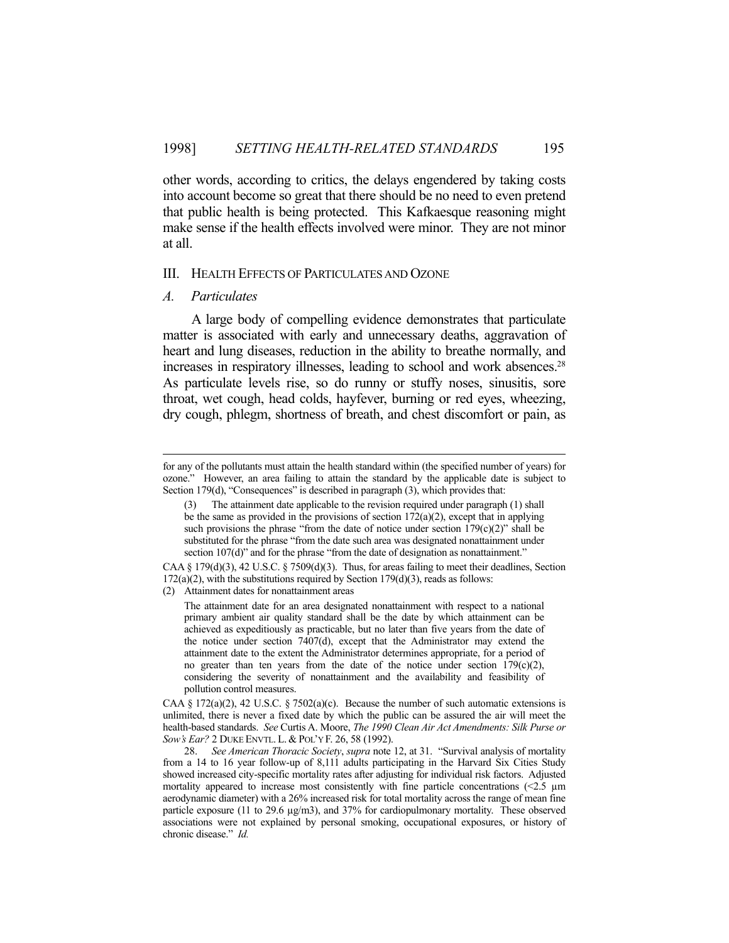other words, according to critics, the delays engendered by taking costs into account become so great that there should be no need to even pretend that public health is being protected. This Kafkaesque reasoning might make sense if the health effects involved were minor. They are not minor at all.

#### III. HEALTH EFFECTS OF PARTICULATES AND OZONE

#### *A. Particulates*

 A large body of compelling evidence demonstrates that particulate matter is associated with early and unnecessary deaths, aggravation of heart and lung diseases, reduction in the ability to breathe normally, and increases in respiratory illnesses, leading to school and work absences.<sup>28</sup> As particulate levels rise, so do runny or stuffy noses, sinusitis, sore throat, wet cough, head colds, hayfever, burning or red eyes, wheezing, dry cough, phlegm, shortness of breath, and chest discomfort or pain, as

The attainment date for an area designated nonattainment with respect to a national primary ambient air quality standard shall be the date by which attainment can be achieved as expeditiously as practicable, but no later than five years from the date of the notice under section 7407(d), except that the Administrator may extend the attainment date to the extent the Administrator determines appropriate, for a period of no greater than ten years from the date of the notice under section  $179(c)(2)$ , considering the severity of nonattainment and the availability and feasibility of pollution control measures.

CAA § 172(a)(2), 42 U.S.C. § 7502(a)(c). Because the number of such automatic extensions is unlimited, there is never a fixed date by which the public can be assured the air will meet the health-based standards. *See* Curtis A. Moore, *The 1990 Clean Air Act Amendments: Silk Purse or Sow's Ear?* 2 DUKE ENVTL. L. & POL'Y F. 26, 58 (1992).

 28. *See American Thoracic Society*, *supra* note 12, at 31. "Survival analysis of mortality from a 14 to 16 year follow-up of 8,111 adults participating in the Harvard Six Cities Study showed increased city-specific mortality rates after adjusting for individual risk factors. Adjusted mortality appeared to increase most consistently with fine particle concentrations  $(2.5 \mu m)$ aerodynamic diameter) with a 26% increased risk for total mortality across the range of mean fine particle exposure (11 to 29.6 µg/m3), and 37% for cardiopulmonary mortality. These observed associations were not explained by personal smoking, occupational exposures, or history of chronic disease." *Id.*

for any of the pollutants must attain the health standard within (the specified number of years) for ozone." However, an area failing to attain the standard by the applicable date is subject to Section 179(d), "Consequences" is described in paragraph (3), which provides that:

<sup>(3)</sup> The attainment date applicable to the revision required under paragraph (1) shall be the same as provided in the provisions of section 172(a)(2), except that in applying such provisions the phrase "from the date of notice under section  $179(c)(2)$ " shall be substituted for the phrase "from the date such area was designated nonattainment under section 107(d)" and for the phrase "from the date of designation as nonattainment."

CAA § 179(d)(3), 42 U.S.C. § 7509(d)(3). Thus, for areas failing to meet their deadlines, Section  $172(a)(2)$ , with the substitutions required by Section  $179(d)(3)$ , reads as follows:

<sup>(2)</sup> Attainment dates for nonattainment areas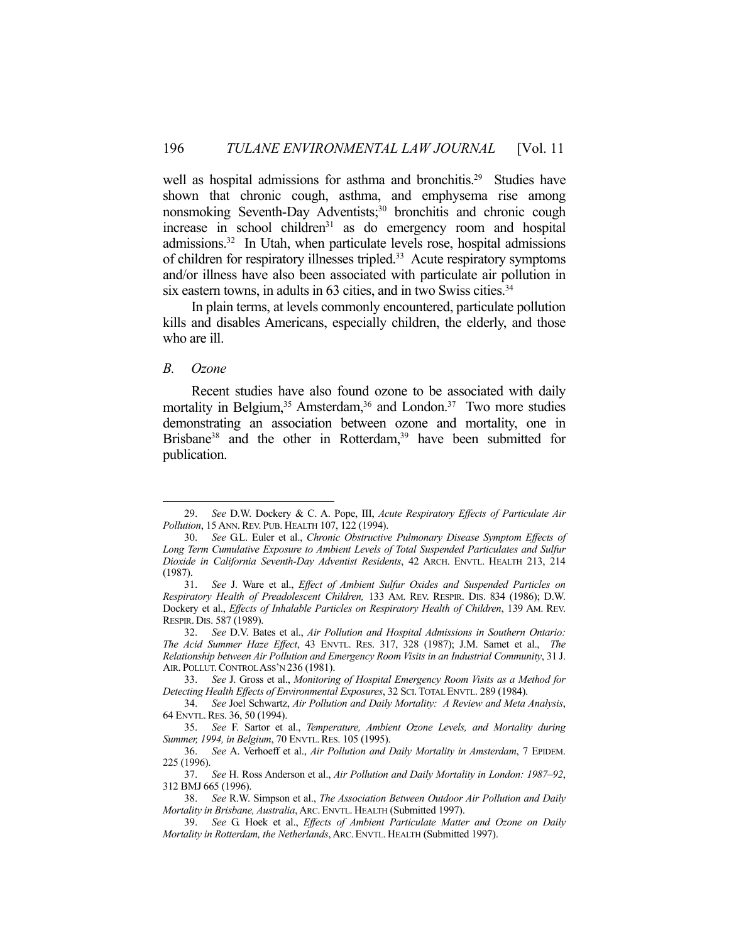well as hospital admissions for asthma and bronchitis.<sup>29</sup> Studies have shown that chronic cough, asthma, and emphysema rise among nonsmoking Seventh-Day Adventists;<sup>30</sup> bronchitis and chronic cough increase in school children $31$  as do emergency room and hospital admissions.32 In Utah, when particulate levels rose, hospital admissions of children for respiratory illnesses tripled.<sup>33</sup> Acute respiratory symptoms and/or illness have also been associated with particulate air pollution in six eastern towns, in adults in 63 cities, and in two Swiss cities.<sup>34</sup>

 In plain terms, at levels commonly encountered, particulate pollution kills and disables Americans, especially children, the elderly, and those who are ill.

#### *B. Ozone*

1

 Recent studies have also found ozone to be associated with daily mortality in Belgium,<sup>35</sup> Amsterdam,<sup>36</sup> and London.<sup>37</sup> Two more studies demonstrating an association between ozone and mortality, one in Brisbane<sup>38</sup> and the other in Rotterdam,<sup>39</sup> have been submitted for publication.

 <sup>29.</sup> *See* D.W. Dockery & C. A. Pope, III, *Acute Respiratory Effects of Particulate Air Pollution*, 15 ANN. REV. PUB. HEALTH 107, 122 (1994).

 <sup>30.</sup> *See* G.L. Euler et al., *Chronic Obstructive Pulmonary Disease Symptom Effects of Long Term Cumulative Exposure to Ambient Levels of Total Suspended Particulates and Sulfur Dioxide in California Seventh-Day Adventist Residents*, 42 ARCH. ENVTL. HEALTH 213, 214 (1987).

 <sup>31.</sup> *See* J. Ware et al., *Effect of Ambient Sulfur Oxides and Suspended Particles on Respiratory Health of Preadolescent Children,* 133 AM. REV. RESPIR. DIS. 834 (1986); D.W. Dockery et al., *Effects of Inhalable Particles on Respiratory Health of Children*, 139 AM. REV. RESPIR. DIS. 587 (1989).

 <sup>32.</sup> *See* D.V. Bates et al., *Air Pollution and Hospital Admissions in Southern Ontario: The Acid Summer Haze Effect*, 43 ENVTL. RES. 317, 328 (1987); J.M. Samet et al., *The Relationship between Air Pollution and Emergency Room Visits in an Industrial Community*, 31 J. AIR. POLLUT. CONTROL ASS'N 236 (1981).

 <sup>33.</sup> *See* J. Gross et al., *Monitoring of Hospital Emergency Room Visits as a Method for Detecting Health Effects of Environmental Exposures*, 32 SCI.TOTAL ENVTL. 289 (1984).

 <sup>34.</sup> *See* Joel Schwartz, *Air Pollution and Daily Mortality: A Review and Meta Analysis*, 64 ENVTL.RES. 36, 50 (1994).

 <sup>35.</sup> *See* F. Sartor et al., *Temperature, Ambient Ozone Levels, and Mortality during Summer, 1994, in Belgium, 70 ENVTL. RES. 105 (1995).* 

 <sup>36.</sup> *See* A. Verhoeff et al., *Air Pollution and Daily Mortality in Amsterdam*, 7 EPIDEM. 225 (1996).

 <sup>37.</sup> *See* H. Ross Anderson et al., *Air Pollution and Daily Mortality in London: 1987–92*, 312 BMJ 665 (1996).<br>38. See R.W.

 <sup>38.</sup> *See* R.W. Simpson et al., *The Association Between Outdoor Air Pollution and Daily Mortality in Brisbane, Australia*, ARC. ENVTL. HEALTH (Submitted 1997).

 <sup>39.</sup> *See* G. Hoek et al., *Effects of Ambient Particulate Matter and Ozone on Daily Mortality in Rotterdam, the Netherlands*, ARC. ENVTL. HEALTH (Submitted 1997).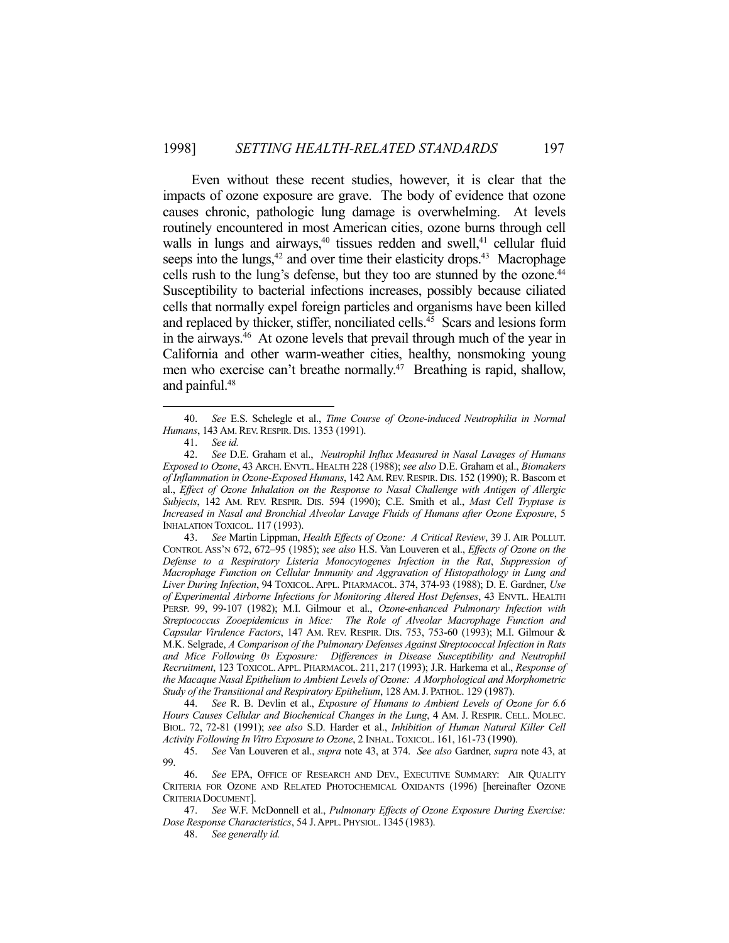Even without these recent studies, however, it is clear that the impacts of ozone exposure are grave. The body of evidence that ozone causes chronic, pathologic lung damage is overwhelming. At levels routinely encountered in most American cities, ozone burns through cell walls in lungs and airways, $40$  tissues redden and swell, $41$  cellular fluid seeps into the lungs, $42$  and over time their elasticity drops. $43$  Macrophage cells rush to the lung's defense, but they too are stunned by the ozone.<sup>44</sup> Susceptibility to bacterial infections increases, possibly because ciliated cells that normally expel foreign particles and organisms have been killed and replaced by thicker, stiffer, nonciliated cells.<sup>45</sup> Scars and lesions form in the airways.46 At ozone levels that prevail through much of the year in California and other warm-weather cities, healthy, nonsmoking young men who exercise can't breathe normally.<sup>47</sup> Breathing is rapid, shallow, and painful.48

1

 43. *See* Martin Lippman, *Health Effects of Ozone: A Critical Review*, 39 J. AIR POLLUT. CONTROL ASS'N 672, 672–95 (1985); *see also* H.S. Van Louveren et al., *Effects of Ozone on the Defense to a Respiratory Listeria Monocytogenes Infection in the Rat*, *Suppression of Macrophage Function on Cellular Immunity and Aggravation of Histopathology in Lung and Liver During Infection*, 94 TOXICOL. APPL. PHARMACOL. 374, 374-93 (1988); D. E. Gardner, *Use of Experimental Airborne Infections for Monitoring Altered Host Defenses*, 43 ENVTL. HEALTH PERSP. 99, 99-107 (1982); M.I. Gilmour et al., *Ozone-enhanced Pulmonary Infection with Streptococcus Zooepidemicus in Mice: The Role of Alveolar Macrophage Function and Capsular Virulence Factors*, 147 AM. REV. RESPIR. DIS. 753, 753-60 (1993); M.I. Gilmour & M.K. Selgrade, *A Comparison of the Pulmonary Defenses Against Streptococcal Infection in Rats and Mice Following 03 Exposure: Differences in Disease Susceptibility and Neutrophil Recruitment*, 123 TOXICOL. APPL. PHARMACOL. 211, 217 (1993); J.R. Harkema et al., *Response of the Macaque Nasal Epithelium to Ambient Levels of Ozone: A Morphological and Morphometric Study of the Transitional and Respiratory Epithelium*, 128 AM.J. PATHOL. 129 (1987).

 44. *See* R. B. Devlin et al., *Exposure of Humans to Ambient Levels of Ozone for 6.6 Hours Causes Cellular and Biochemical Changes in the Lung*, 4 AM. J. RESPIR. CELL. MOLEC. BIOL. 72, 72-81 (1991); *see also* S.D. Harder et al., *Inhibition of Human Natural Killer Cell Activity Following In Vitro Exposure to Ozone*, 2 INHAL.TOXICOL. 161, 161-73 (1990).

 47. *See* W.F. McDonnell et al., *Pulmonary Effects of Ozone Exposure During Exercise: Dose Response Characteristics*, 54 J.APPL. PHYSIOL. 1345 (1983).

48. *See generally id.*

 <sup>40.</sup> *See* E.S. Schelegle et al., *Time Course of Ozone-induced Neutrophilia in Normal Humans*, 143 AM. REV. RESPIR. DIS. 1353 (1991).

 <sup>41.</sup> *See id.*

 <sup>42.</sup> *See* D.E. Graham et al., *Neutrophil Influx Measured in Nasal Lavages of Humans Exposed to Ozone*, 43 ARCH. ENVTL. HEALTH 228 (1988); *see also* D.E. Graham et al., *Biomakers of Inflammation in Ozone-Exposed Humans*, 142 AM.REV.RESPIR. DIS. 152 (1990); R. Bascom et al., *Effect of Ozone Inhalation on the Response to Nasal Challenge with Antigen of Allergic Subjects*, 142 AM. REV. RESPIR. DIS. 594 (1990); C.E. Smith et al., *Mast Cell Tryptase is Increased in Nasal and Bronchial Alveolar Lavage Fluids of Humans after Ozone Exposure*, 5 INHALATION TOXICOL. 117 (1993).

 <sup>45.</sup> *See* Van Louveren et al., *supra* note 43, at 374. *See also* Gardner, *supra* note 43, at 99.

 <sup>46.</sup> *See* EPA, OFFICE OF RESEARCH AND DEV., EXECUTIVE SUMMARY: AIR QUALITY CRITERIA FOR OZONE AND RELATED PHOTOCHEMICAL OXIDANTS (1996) [hereinafter OZONE CRITERIA DOCUMENT].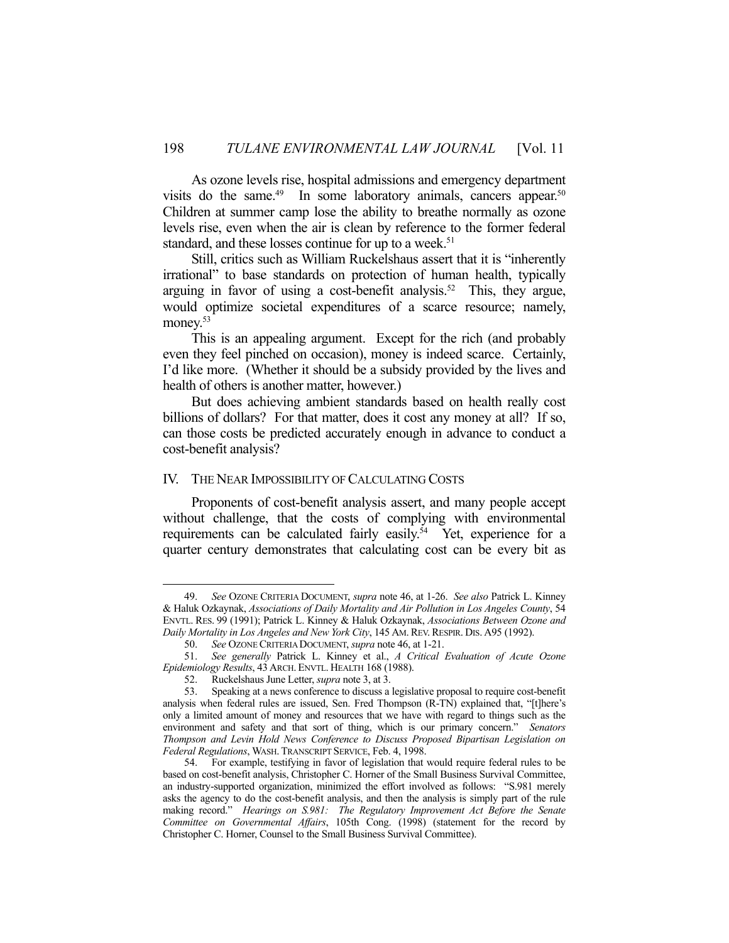As ozone levels rise, hospital admissions and emergency department visits do the same.<sup>49</sup> In some laboratory animals, cancers appear.<sup>50</sup> Children at summer camp lose the ability to breathe normally as ozone levels rise, even when the air is clean by reference to the former federal standard, and these losses continue for up to a week.<sup>51</sup>

 Still, critics such as William Ruckelshaus assert that it is "inherently irrational" to base standards on protection of human health, typically arguing in favor of using a cost-benefit analysis.<sup>52</sup> This, they argue, would optimize societal expenditures of a scarce resource; namely, money.<sup>53</sup>

 This is an appealing argument. Except for the rich (and probably even they feel pinched on occasion), money is indeed scarce. Certainly, I'd like more. (Whether it should be a subsidy provided by the lives and health of others is another matter, however.)

 But does achieving ambient standards based on health really cost billions of dollars? For that matter, does it cost any money at all? If so, can those costs be predicted accurately enough in advance to conduct a cost-benefit analysis?

## IV. THE NEAR IMPOSSIBILITY OF CALCULATING COSTS

 Proponents of cost-benefit analysis assert, and many people accept without challenge, that the costs of complying with environmental requirements can be calculated fairly easily.<sup>54</sup> Yet, experience for a quarter century demonstrates that calculating cost can be every bit as

 <sup>49.</sup> *See* OZONE CRITERIA DOCUMENT, *supra* note 46, at 1-26. *See also* Patrick L. Kinney & Haluk Ozkaynak, *Associations of Daily Mortality and Air Pollution in Los Angeles County*, 54 ENVTL. RES. 99 (1991); Patrick L. Kinney & Haluk Ozkaynak, *Associations Between Ozone and Daily Mortality in Los Angeles and New York City*, 145 AM.REV.RESPIR. DIS. A95 (1992).

 <sup>50.</sup> *See* OZONE CRITERIA DOCUMENT, *supra* note 46, at 1-21.

 <sup>51.</sup> *See generally* Patrick L. Kinney et al., *A Critical Evaluation of Acute Ozone Epidemiology Results*, 43 ARCH. ENVTL. HEALTH 168 (1988).

<sup>52.</sup> Ruckelshaus June Letter, *supra* note 3, at 3.<br>53. Speaking at a news conference to discuss a

 <sup>53.</sup> Speaking at a news conference to discuss a legislative proposal to require cost-benefit analysis when federal rules are issued, Sen. Fred Thompson (R-TN) explained that, "[t]here's only a limited amount of money and resources that we have with regard to things such as the environment and safety and that sort of thing, which is our primary concern." *Senators Thompson and Levin Hold News Conference to Discuss Proposed Bipartisan Legislation on Federal Regulations*, WASH.TRANSCRIPT SERVICE, Feb. 4, 1998.

 <sup>54.</sup> For example, testifying in favor of legislation that would require federal rules to be based on cost-benefit analysis, Christopher C. Horner of the Small Business Survival Committee, an industry-supported organization, minimized the effort involved as follows: "S.981 merely asks the agency to do the cost-benefit analysis, and then the analysis is simply part of the rule making record." *Hearings on S.981: The Regulatory Improvement Act Before the Senate Committee on Governmental Affairs*, 105th Cong. (1998) (statement for the record by Christopher C. Horner, Counsel to the Small Business Survival Committee).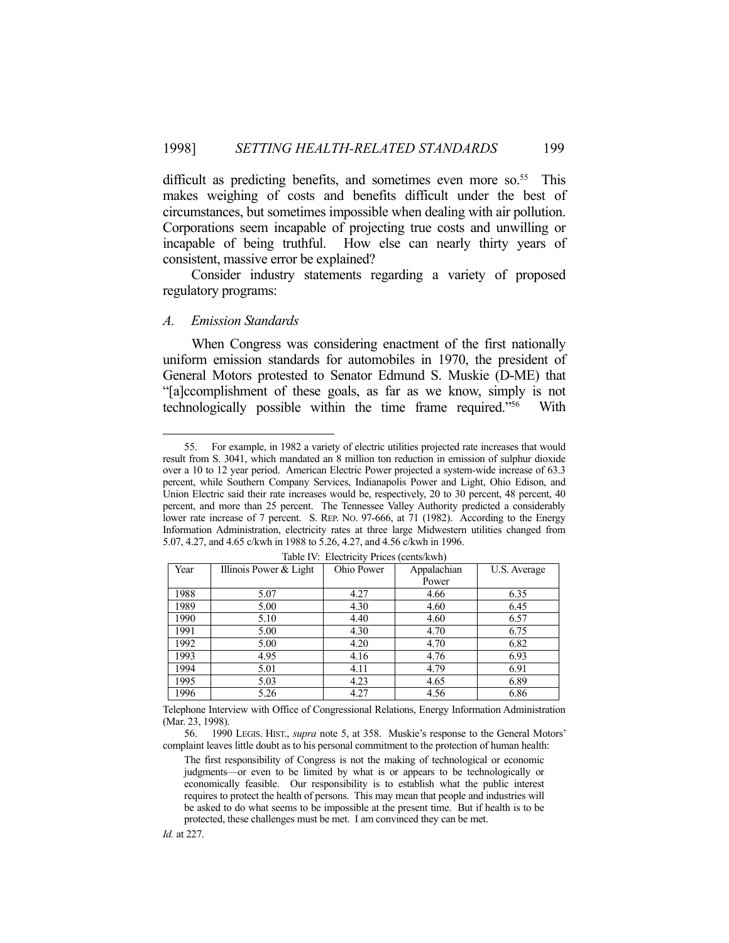difficult as predicting benefits, and sometimes even more so.<sup>55</sup> This makes weighing of costs and benefits difficult under the best of circumstances, but sometimes impossible when dealing with air pollution. Corporations seem incapable of projecting true costs and unwilling or incapable of being truthful. How else can nearly thirty years of consistent, massive error be explained?

 Consider industry statements regarding a variety of proposed regulatory programs:

## *A. Emission Standards*

1

 When Congress was considering enactment of the first nationally uniform emission standards for automobiles in 1970, the president of General Motors protested to Senator Edmund S. Muskie (D-ME) that "[a]ccomplishment of these goals, as far as we know, simply is not technologically possible within the time frame required."56 With

 <sup>55.</sup> For example, in 1982 a variety of electric utilities projected rate increases that would result from S. 3041, which mandated an 8 million ton reduction in emission of sulphur dioxide over a 10 to 12 year period. American Electric Power projected a system-wide increase of 63.3 percent, while Southern Company Services, Indianapolis Power and Light, Ohio Edison, and Union Electric said their rate increases would be, respectively, 20 to 30 percent, 48 percent, 40 percent, and more than 25 percent. The Tennessee Valley Authority predicted a considerably lower rate increase of 7 percent. S. REP. NO. 97-666, at 71 (1982). According to the Energy Information Administration, electricity rates at three large Midwestern utilities changed from 5.07, 4.27, and 4.65 c/kwh in 1988 to 5.26, 4.27, and 4.56 c/kwh in 1996.

| Year | Illinois Power & Light | Ohio Power | Appalachian | U.S. Average |
|------|------------------------|------------|-------------|--------------|
|      |                        |            | Power       |              |
| 1988 | 5.07                   | 4.27       | 4.66        | 6.35         |
| 1989 | 5.00                   | 4.30       | 4.60        | 6.45         |
| 1990 | 5.10                   | 4.40       | 4.60        | 6.57         |
| 1991 | 5.00                   | 4.30       | 4.70        | 6.75         |
| 1992 | 5.00                   | 4.20       | 4.70        | 6.82         |
| 1993 | 4.95                   | 4.16       | 4.76        | 6.93         |
| 1994 | 5.01                   | 4.11       | 4.79        | 6.91         |
| 1995 | 5.03                   | 4.23       | 4.65        | 6.89         |
| 1996 | 5.26                   | 4.27       | 4.56        | 6.86         |

Table IV: Electricity Prices (cents/kwh)

Telephone Interview with Office of Congressional Relations, Energy Information Administration (Mar. 23, 1998).

 56. 1990 LEGIS. HIST., *supra* note 5, at 358. Muskie's response to the General Motors' complaint leaves little doubt as to his personal commitment to the protection of human health:

The first responsibility of Congress is not the making of technological or economic judgments—or even to be limited by what is or appears to be technologically or economically feasible. Our responsibility is to establish what the public interest requires to protect the health of persons. This may mean that people and industries will be asked to do what seems to be impossible at the present time. But if health is to be protected, these challenges must be met. I am convinced they can be met.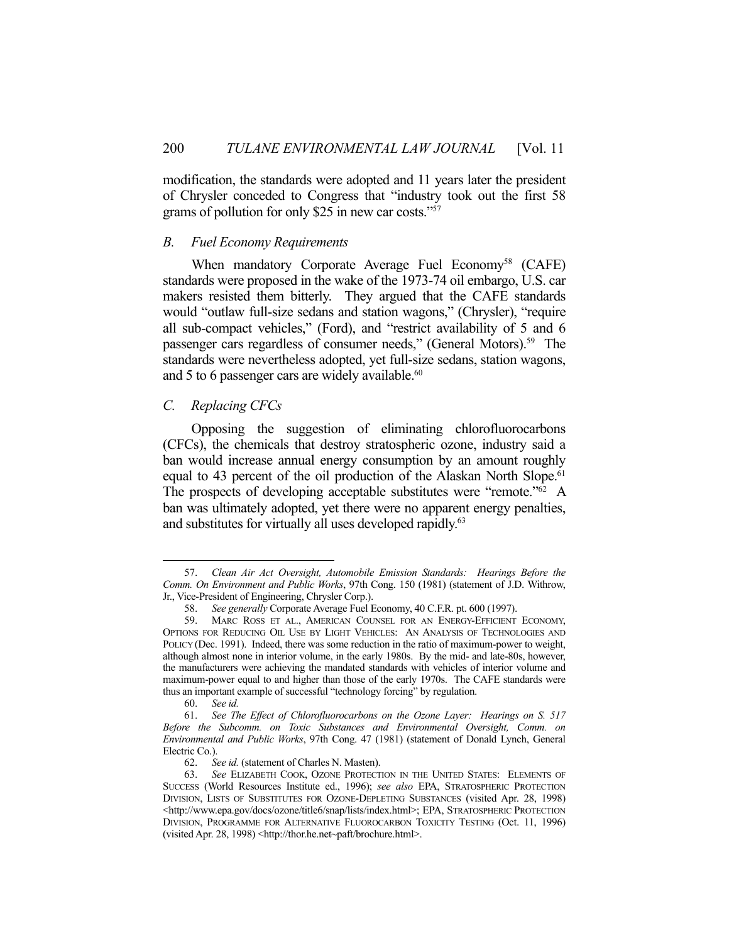modification, the standards were adopted and 11 years later the president of Chrysler conceded to Congress that "industry took out the first 58 grams of pollution for only \$25 in new car costs."57

#### *B. Fuel Economy Requirements*

When mandatory Corporate Average Fuel Economy<sup>58</sup> (CAFE) standards were proposed in the wake of the 1973-74 oil embargo, U.S. car makers resisted them bitterly. They argued that the CAFE standards would "outlaw full-size sedans and station wagons," (Chrysler), "require all sub-compact vehicles," (Ford), and "restrict availability of 5 and 6 passenger cars regardless of consumer needs," (General Motors).<sup>59</sup> The standards were nevertheless adopted, yet full-size sedans, station wagons, and 5 to 6 passenger cars are widely available.<sup>60</sup>

## *C. Replacing CFCs*

 Opposing the suggestion of eliminating chlorofluorocarbons (CFCs), the chemicals that destroy stratospheric ozone, industry said a ban would increase annual energy consumption by an amount roughly equal to 43 percent of the oil production of the Alaskan North Slope.<sup>61</sup> The prospects of developing acceptable substitutes were "remote."<sup>62</sup> A ban was ultimately adopted, yet there were no apparent energy penalties, and substitutes for virtually all uses developed rapidly.<sup>63</sup>

 <sup>57.</sup> *Clean Air Act Oversight, Automobile Emission Standards: Hearings Before the Comm. On Environment and Public Works*, 97th Cong. 150 (1981) (statement of J.D. Withrow, Jr., Vice-President of Engineering, Chrysler Corp.).

 <sup>58.</sup> *See generally* Corporate Average Fuel Economy, 40 C.F.R. pt. 600 (1997).

 <sup>59.</sup> MARC ROSS ET AL., AMERICAN COUNSEL FOR AN ENERGY-EFFICIENT ECONOMY, OPTIONS FOR REDUCING OIL USE BY LIGHT VEHICLES: AN ANALYSIS OF TECHNOLOGIES AND POLICY (Dec. 1991). Indeed, there was some reduction in the ratio of maximum-power to weight, although almost none in interior volume, in the early 1980s. By the mid- and late-80s, however, the manufacturers were achieving the mandated standards with vehicles of interior volume and maximum-power equal to and higher than those of the early 1970s. The CAFE standards were thus an important example of successful "technology forcing" by regulation.

 <sup>60.</sup> *See id.*

 <sup>61.</sup> *See The Effect of Chlorofluorocarbons on the Ozone Layer: Hearings on S. 517 Before the Subcomm. on Toxic Substances and Environmental Oversight, Comm. on Environmental and Public Works*, 97th Cong. 47 (1981) (statement of Donald Lynch, General Electric Co.).

 <sup>62.</sup> *See id.* (statement of Charles N. Masten).

 <sup>63.</sup> *See* ELIZABETH COOK, OZONE PROTECTION IN THE UNITED STATES: ELEMENTS OF SUCCESS (World Resources Institute ed., 1996); *see also* EPA, STRATOSPHERIC PROTECTION DIVISION, LISTS OF SUBSTITUTES FOR OZONE-DEPLETING SUBSTANCES (visited Apr. 28, 1998) <http://www.epa.gov/docs/ozone/title6/snap/lists/index.html>; EPA, STRATOSPHERIC PROTECTION DIVISION, PROGRAMME FOR ALTERNATIVE FLUOROCARBON TOXICITY TESTING (Oct. 11, 1996) (visited Apr. 28, 1998) <http://thor.he.net~paft/brochure.html>.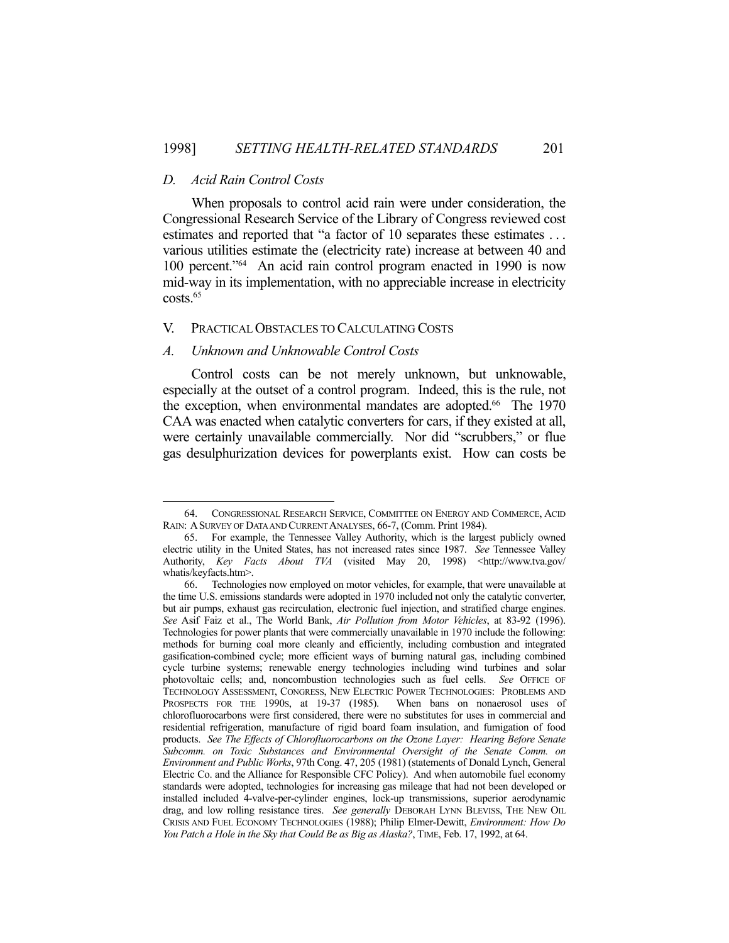## *D. Acid Rain Control Costs*

1

 When proposals to control acid rain were under consideration, the Congressional Research Service of the Library of Congress reviewed cost estimates and reported that "a factor of 10 separates these estimates ... various utilities estimate the (electricity rate) increase at between 40 and 100 percent."64 An acid rain control program enacted in 1990 is now mid-way in its implementation, with no appreciable increase in electricity costs.65

## V. PRACTICAL OBSTACLES TO CALCULATING COSTS

## *A. Unknown and Unknowable Control Costs*

 Control costs can be not merely unknown, but unknowable, especially at the outset of a control program. Indeed, this is the rule, not the exception, when environmental mandates are adopted.<sup>66</sup> The 1970 CAA was enacted when catalytic converters for cars, if they existed at all, were certainly unavailable commercially. Nor did "scrubbers," or flue gas desulphurization devices for powerplants exist. How can costs be

 <sup>64.</sup> CONGRESSIONAL RESEARCH SERVICE, COMMITTEE ON ENERGY AND COMMERCE, ACID RAIN: ASURVEY OF DATA AND CURRENT ANALYSES, 66-7, (Comm. Print 1984).

 <sup>65.</sup> For example, the Tennessee Valley Authority, which is the largest publicly owned electric utility in the United States, has not increased rates since 1987. *See* Tennessee Valley Authority, *Key Facts About TVA* (visited May 20, 1998) <http://www.tva.gov/ whatis/keyfacts.htm>.

 <sup>66.</sup> Technologies now employed on motor vehicles, for example, that were unavailable at the time U.S. emissions standards were adopted in 1970 included not only the catalytic converter, but air pumps, exhaust gas recirculation, electronic fuel injection, and stratified charge engines. *See* Asif Faiz et al., The World Bank, *Air Pollution from Motor Vehicles*, at 83-92 (1996). Technologies for power plants that were commercially unavailable in 1970 include the following: methods for burning coal more cleanly and efficiently, including combustion and integrated gasification-combined cycle; more efficient ways of burning natural gas, including combined cycle turbine systems; renewable energy technologies including wind turbines and solar photovoltaic cells; and, noncombustion technologies such as fuel cells. *See* OFFICE OF TECHNOLOGY ASSESSMENT, CONGRESS, NEW ELECTRIC POWER TECHNOLOGIES: PROBLEMS AND PROSPECTS FOR THE 1990S, at 19-37 (1985). When bans on nonaerosol uses of chlorofluorocarbons were first considered, there were no substitutes for uses in commercial and residential refrigeration, manufacture of rigid board foam insulation, and fumigation of food products. *See The Effects of Chlorofluorocarbons on the Ozone Layer: Hearing Before Senate Subcomm. on Toxic Substances and Environmental Oversight of the Senate Comm. on Environment and Public Works*, 97th Cong. 47, 205 (1981) (statements of Donald Lynch, General Electric Co. and the Alliance for Responsible CFC Policy). And when automobile fuel economy standards were adopted, technologies for increasing gas mileage that had not been developed or installed included 4-valve-per-cylinder engines, lock-up transmissions, superior aerodynamic drag, and low rolling resistance tires. *See generally* DEBORAH LYNN BLEVISS, THE NEW OIL CRISIS AND FUEL ECONOMY TECHNOLOGIES (1988); Philip Elmer-Dewitt, *Environment: How Do You Patch a Hole in the Sky that Could Be as Big as Alaska?*, TIME, Feb. 17, 1992, at 64.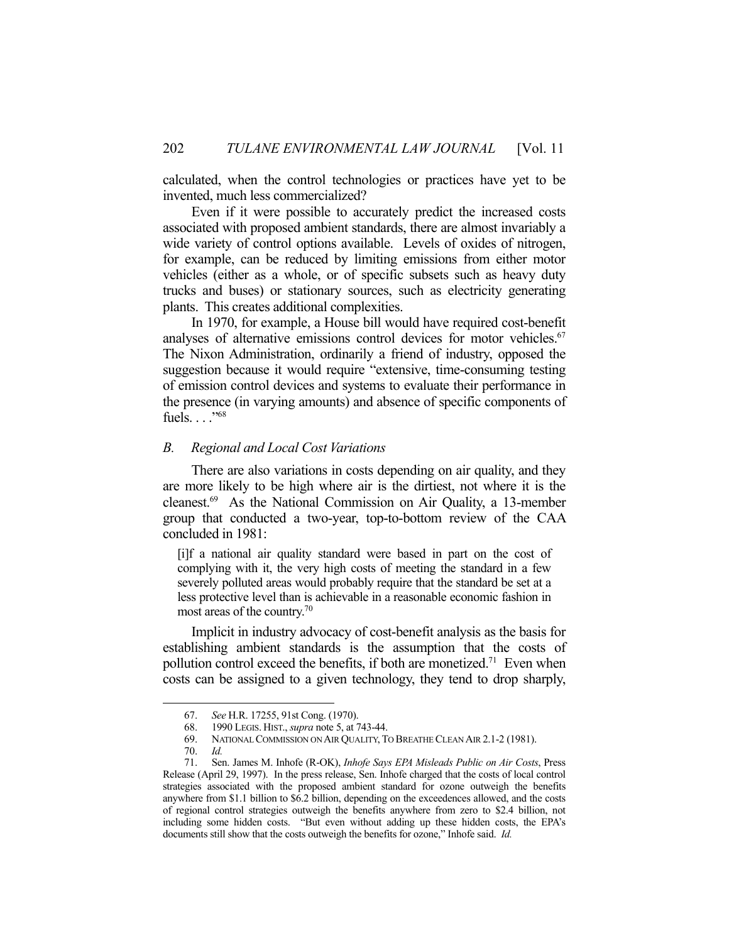calculated, when the control technologies or practices have yet to be invented, much less commercialized?

 Even if it were possible to accurately predict the increased costs associated with proposed ambient standards, there are almost invariably a wide variety of control options available. Levels of oxides of nitrogen, for example, can be reduced by limiting emissions from either motor vehicles (either as a whole, or of specific subsets such as heavy duty trucks and buses) or stationary sources, such as electricity generating plants. This creates additional complexities.

 In 1970, for example, a House bill would have required cost-benefit analyses of alternative emissions control devices for motor vehicles.<sup>67</sup> The Nixon Administration, ordinarily a friend of industry, opposed the suggestion because it would require "extensive, time-consuming testing of emission control devices and systems to evaluate their performance in the presence (in varying amounts) and absence of specific components of fuels. . . . "68

## *B. Regional and Local Cost Variations*

 There are also variations in costs depending on air quality, and they are more likely to be high where air is the dirtiest, not where it is the cleanest.69 As the National Commission on Air Quality, a 13-member group that conducted a two-year, top-to-bottom review of the CAA concluded in 1981:

[i]f a national air quality standard were based in part on the cost of complying with it, the very high costs of meeting the standard in a few severely polluted areas would probably require that the standard be set at a less protective level than is achievable in a reasonable economic fashion in most areas of the country.<sup>70</sup>

 Implicit in industry advocacy of cost-benefit analysis as the basis for establishing ambient standards is the assumption that the costs of pollution control exceed the benefits, if both are monetized.<sup>71</sup> Even when costs can be assigned to a given technology, they tend to drop sharply,

 <sup>67.</sup> *See* H.R. 17255, 91st Cong. (1970).

 <sup>68. 1990</sup> LEGIS. HIST., *supra* note 5, at 743-44.

 <sup>69.</sup> NATIONAL COMMISSION ON AIR QUALITY,TO BREATHE CLEAN AIR 2.1-2 (1981).

 <sup>70.</sup> *Id.*

 <sup>71.</sup> Sen. James M. Inhofe (R-OK), *Inhofe Says EPA Misleads Public on Air Costs*, Press Release (April 29, 1997). In the press release, Sen. Inhofe charged that the costs of local control strategies associated with the proposed ambient standard for ozone outweigh the benefits anywhere from \$1.1 billion to \$6.2 billion, depending on the exceedences allowed, and the costs of regional control strategies outweigh the benefits anywhere from zero to \$2.4 billion, not including some hidden costs. "But even without adding up these hidden costs, the EPA's documents still show that the costs outweigh the benefits for ozone," Inhofe said. *Id.*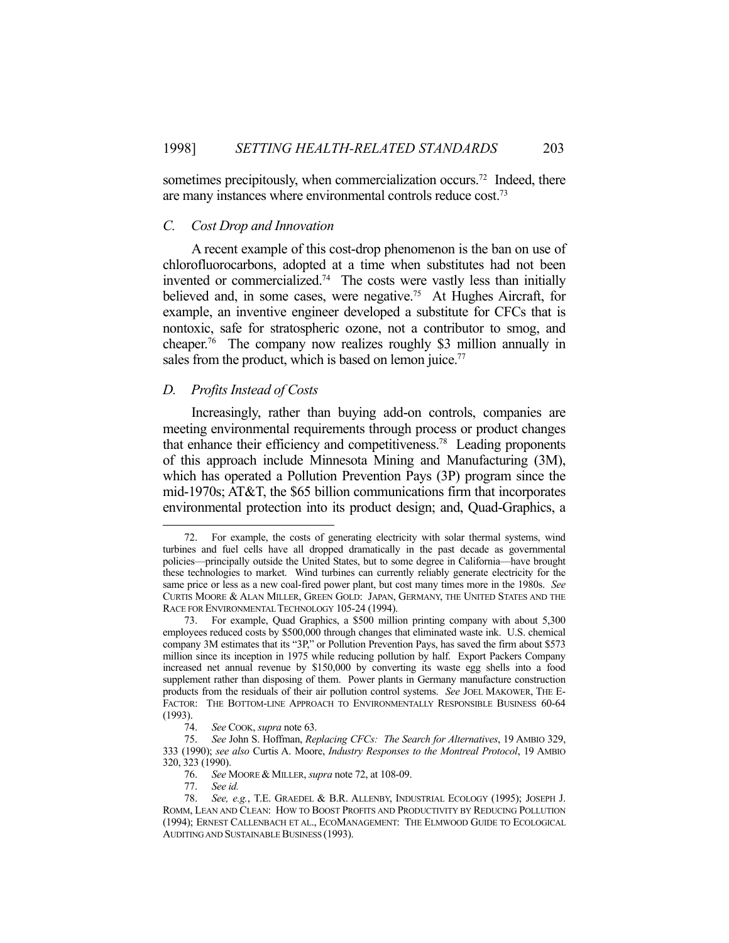sometimes precipitously, when commercialization occurs.<sup>72</sup> Indeed, there are many instances where environmental controls reduce cost.73

#### *C. Cost Drop and Innovation*

 A recent example of this cost-drop phenomenon is the ban on use of chlorofluorocarbons, adopted at a time when substitutes had not been invented or commercialized.74 The costs were vastly less than initially believed and, in some cases, were negative.<sup>75</sup> At Hughes Aircraft, for example, an inventive engineer developed a substitute for CFCs that is nontoxic, safe for stratospheric ozone, not a contributor to smog, and cheaper.76 The company now realizes roughly \$3 million annually in sales from the product, which is based on lemon juice.<sup>77</sup>

#### *D. Profits Instead of Costs*

 Increasingly, rather than buying add-on controls, companies are meeting environmental requirements through process or product changes that enhance their efficiency and competitiveness.78 Leading proponents of this approach include Minnesota Mining and Manufacturing (3M), which has operated a Pollution Prevention Pays (3P) program since the mid-1970s; AT&T, the \$65 billion communications firm that incorporates environmental protection into its product design; and, Quad-Graphics, a

 <sup>72.</sup> For example, the costs of generating electricity with solar thermal systems, wind turbines and fuel cells have all dropped dramatically in the past decade as governmental policies—principally outside the United States, but to some degree in California—have brought these technologies to market. Wind turbines can currently reliably generate electricity for the same price or less as a new coal-fired power plant, but cost many times more in the 1980s. *See* CURTIS MOORE & ALAN MILLER, GREEN GOLD: JAPAN, GERMANY, THE UNITED STATES AND THE RACE FOR ENVIRONMENTAL TECHNOLOGY 105-24 (1994).

 <sup>73.</sup> For example, Quad Graphics, a \$500 million printing company with about 5,300 employees reduced costs by \$500,000 through changes that eliminated waste ink. U.S. chemical company 3M estimates that its "3P," or Pollution Prevention Pays, has saved the firm about \$573 million since its inception in 1975 while reducing pollution by half. Export Packers Company increased net annual revenue by \$150,000 by converting its waste egg shells into a food supplement rather than disposing of them. Power plants in Germany manufacture construction products from the residuals of their air pollution control systems. *See* JOEL MAKOWER, THE E-FACTOR: THE BOTTOM-LINE APPROACH TO ENVIRONMENTALLY RESPONSIBLE BUSINESS 60-64  $(1993)$ .<br>74.

See COOK, *supra* note 63.

 <sup>75.</sup> *See* John S. Hoffman, *Replacing CFCs: The Search for Alternatives*, 19 AMBIO 329, 333 (1990); *see also* Curtis A. Moore, *Industry Responses to the Montreal Protocol*, 19 AMBIO 320, 323 (1990).

 <sup>76.</sup> *See* MOORE & MILLER, *supra* note 72, at 108-09.

 <sup>77.</sup> *See id.*

See, e.g., T.E. GRAEDEL & B.R. ALLENBY, INDUSTRIAL ECOLOGY (1995); JOSEPH J. ROMM, LEAN AND CLEAN: HOW TO BOOST PROFITS AND PRODUCTIVITY BY REDUCING POLLUTION (1994); ERNEST CALLENBACH ET AL., ECOMANAGEMENT: THE ELMWOOD GUIDE TO ECOLOGICAL AUDITING AND SUSTAINABLE BUSINESS (1993).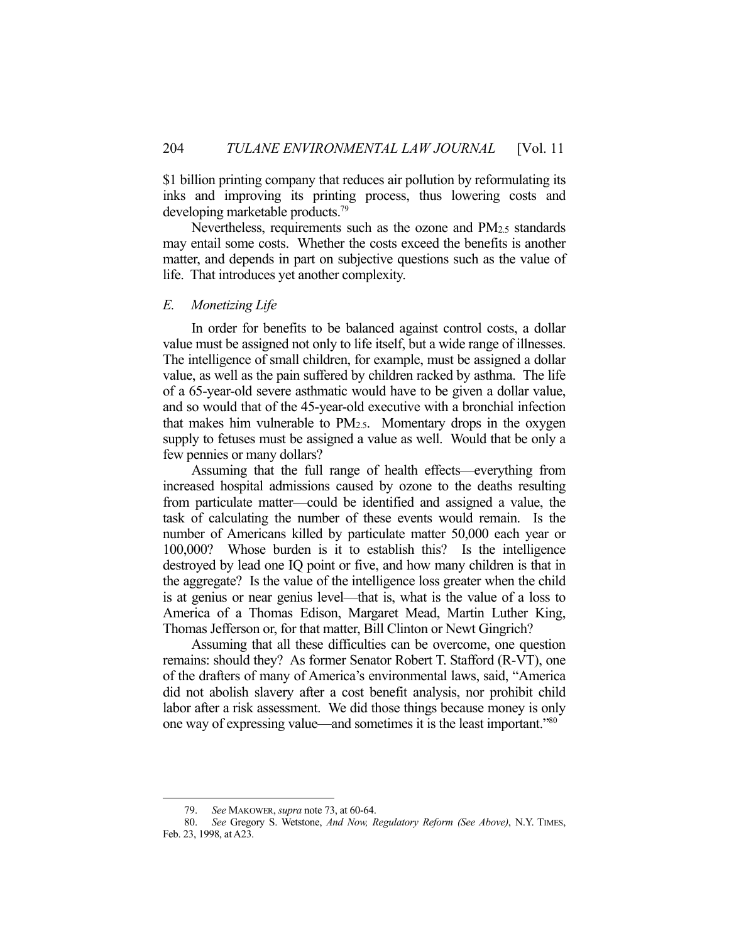\$1 billion printing company that reduces air pollution by reformulating its inks and improving its printing process, thus lowering costs and developing marketable products.79

 Nevertheless, requirements such as the ozone and PM2.5 standards may entail some costs. Whether the costs exceed the benefits is another matter, and depends in part on subjective questions such as the value of life. That introduces yet another complexity.

#### *E. Monetizing Life*

 In order for benefits to be balanced against control costs, a dollar value must be assigned not only to life itself, but a wide range of illnesses. The intelligence of small children, for example, must be assigned a dollar value, as well as the pain suffered by children racked by asthma. The life of a 65-year-old severe asthmatic would have to be given a dollar value, and so would that of the 45-year-old executive with a bronchial infection that makes him vulnerable to PM2.5. Momentary drops in the oxygen supply to fetuses must be assigned a value as well. Would that be only a few pennies or many dollars?

 Assuming that the full range of health effects—everything from increased hospital admissions caused by ozone to the deaths resulting from particulate matter—could be identified and assigned a value, the task of calculating the number of these events would remain. Is the number of Americans killed by particulate matter 50,000 each year or 100,000? Whose burden is it to establish this? Is the intelligence destroyed by lead one IQ point or five, and how many children is that in the aggregate? Is the value of the intelligence loss greater when the child is at genius or near genius level—that is, what is the value of a loss to America of a Thomas Edison, Margaret Mead, Martin Luther King, Thomas Jefferson or, for that matter, Bill Clinton or Newt Gingrich?

 Assuming that all these difficulties can be overcome, one question remains: should they? As former Senator Robert T. Stafford (R-VT), one of the drafters of many of America's environmental laws, said, "America did not abolish slavery after a cost benefit analysis, nor prohibit child labor after a risk assessment. We did those things because money is only one way of expressing value—and sometimes it is the least important."80

 <sup>79.</sup> *See* MAKOWER, *supra* note 73, at 60-64.

 <sup>80.</sup> *See* Gregory S. Wetstone, *And Now, Regulatory Reform (See Above)*, N.Y. TIMES, Feb. 23, 1998, at A23.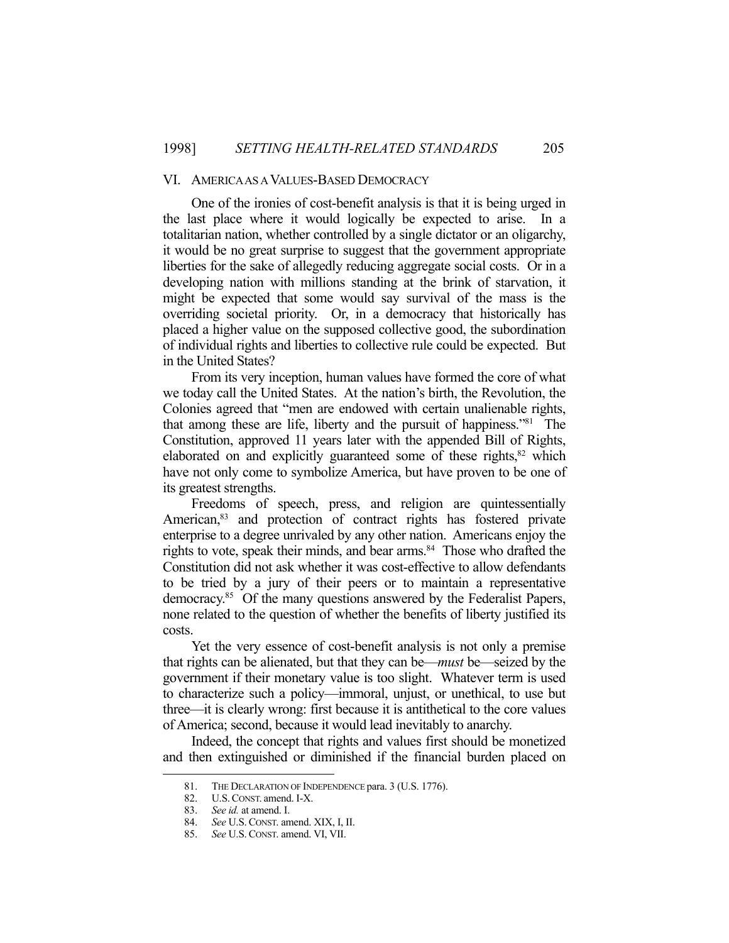#### VI. AMERICA AS A VALUES-BASED DEMOCRACY

 One of the ironies of cost-benefit analysis is that it is being urged in the last place where it would logically be expected to arise. In a totalitarian nation, whether controlled by a single dictator or an oligarchy, it would be no great surprise to suggest that the government appropriate liberties for the sake of allegedly reducing aggregate social costs. Or in a developing nation with millions standing at the brink of starvation, it might be expected that some would say survival of the mass is the overriding societal priority. Or, in a democracy that historically has placed a higher value on the supposed collective good, the subordination of individual rights and liberties to collective rule could be expected. But in the United States?

 From its very inception, human values have formed the core of what we today call the United States. At the nation's birth, the Revolution, the Colonies agreed that "men are endowed with certain unalienable rights, that among these are life, liberty and the pursuit of happiness."81 The Constitution, approved 11 years later with the appended Bill of Rights, elaborated on and explicitly guaranteed some of these rights, $82$  which have not only come to symbolize America, but have proven to be one of its greatest strengths.

 Freedoms of speech, press, and religion are quintessentially American,<sup>83</sup> and protection of contract rights has fostered private enterprise to a degree unrivaled by any other nation. Americans enjoy the rights to vote, speak their minds, and bear arms.<sup>84</sup> Those who drafted the Constitution did not ask whether it was cost-effective to allow defendants to be tried by a jury of their peers or to maintain a representative democracy.85 Of the many questions answered by the Federalist Papers, none related to the question of whether the benefits of liberty justified its costs.

 Yet the very essence of cost-benefit analysis is not only a premise that rights can be alienated, but that they can be—*must* be—seized by the government if their monetary value is too slight. Whatever term is used to characterize such a policy—immoral, unjust, or unethical, to use but three—it is clearly wrong: first because it is antithetical to the core values of America; second, because it would lead inevitably to anarchy.

 Indeed, the concept that rights and values first should be monetized and then extinguished or diminished if the financial burden placed on

<sup>81.</sup> THE DECLARATION OF INDEPENDENCE para. 3 (U.S. 1776).<br>82. U.S. CONST. amend. I-X.

 <sup>82.</sup> U.S.CONST. amend. I-X.

 <sup>83.</sup> *See id.* at amend. I.

 <sup>84.</sup> *See* U.S. CONST. amend. XIX, I, II.

 <sup>85.</sup> *See* U.S. CONST. amend. VI, VII.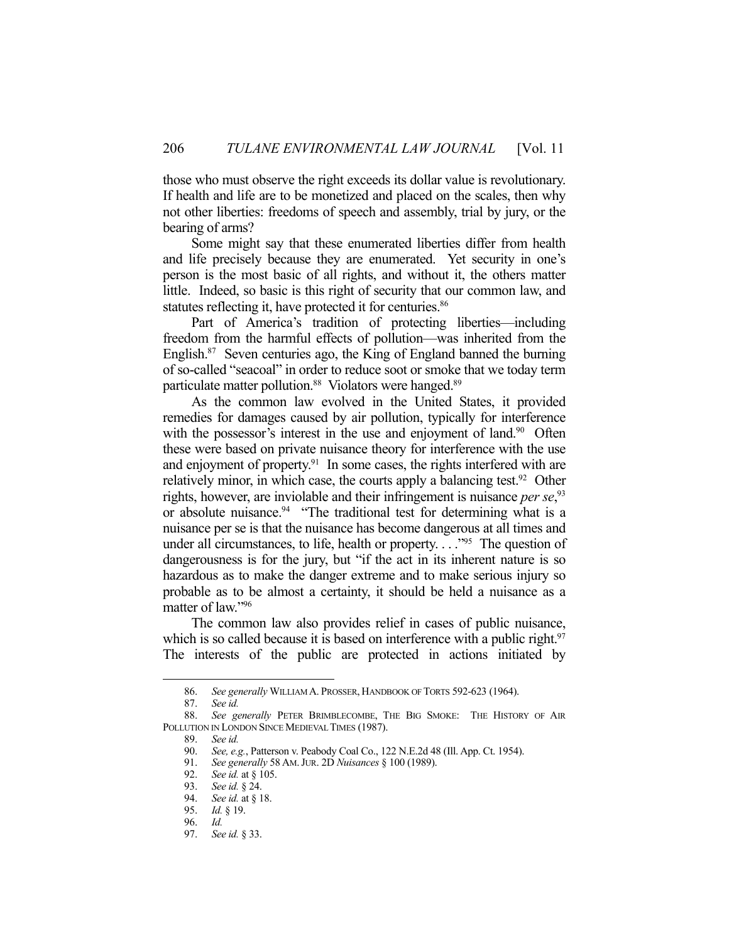those who must observe the right exceeds its dollar value is revolutionary. If health and life are to be monetized and placed on the scales, then why not other liberties: freedoms of speech and assembly, trial by jury, or the bearing of arms?

 Some might say that these enumerated liberties differ from health and life precisely because they are enumerated. Yet security in one's person is the most basic of all rights, and without it, the others matter little. Indeed, so basic is this right of security that our common law, and statutes reflecting it, have protected it for centuries.<sup>86</sup>

 Part of America's tradition of protecting liberties—including freedom from the harmful effects of pollution—was inherited from the English.87 Seven centuries ago, the King of England banned the burning of so-called "seacoal" in order to reduce soot or smoke that we today term particulate matter pollution.<sup>88</sup> Violators were hanged.<sup>89</sup>

 As the common law evolved in the United States, it provided remedies for damages caused by air pollution, typically for interference with the possessor's interest in the use and enjoyment of land.<sup>90</sup> Often these were based on private nuisance theory for interference with the use and enjoyment of property.<sup>91</sup> In some cases, the rights interfered with are relatively minor, in which case, the courts apply a balancing test.<sup>92</sup> Other rights, however, are inviolable and their infringement is nuisance *per se*<sup>93</sup> or absolute nuisance.<sup>94</sup> "The traditional test for determining what is a nuisance per se is that the nuisance has become dangerous at all times and under all circumstances, to life, health or property.  $\ldots$ <sup>95</sup> The question of dangerousness is for the jury, but "if the act in its inherent nature is so hazardous as to make the danger extreme and to make serious injury so probable as to be almost a certainty, it should be held a nuisance as a matter of law."96

 The common law also provides relief in cases of public nuisance, which is so called because it is based on interference with a public right.<sup>97</sup> The interests of the public are protected in actions initiated by

 <sup>86.</sup> *See generally* WILLIAM A. PROSSER, HANDBOOK OF TORTS 592-623 (1964).

 <sup>87.</sup> *See id.*

 <sup>88.</sup> *See generally* PETER BRIMBLECOMBE, THE BIG SMOKE: THE HISTORY OF AIR POLLUTION IN LONDON SINCE MEDIEVAL TIMES (1987).

 <sup>89.</sup> *See id.*

 <sup>90.</sup> *See, e.g.*, Patterson v. Peabody Coal Co., 122 N.E.2d 48 (Ill. App. Ct. 1954).

 <sup>91.</sup> *See generally* 58 AM.JUR. 2D *Nuisances* § 100 (1989).

 <sup>92.</sup> *See id.* at § 105.

 <sup>93.</sup> *See id.* § 24.

 <sup>94.</sup> *See id.* at § 18.

 <sup>95.</sup> *Id.* § 19.

 <sup>96.</sup> *Id.*

 <sup>97.</sup> *See id.* § 33.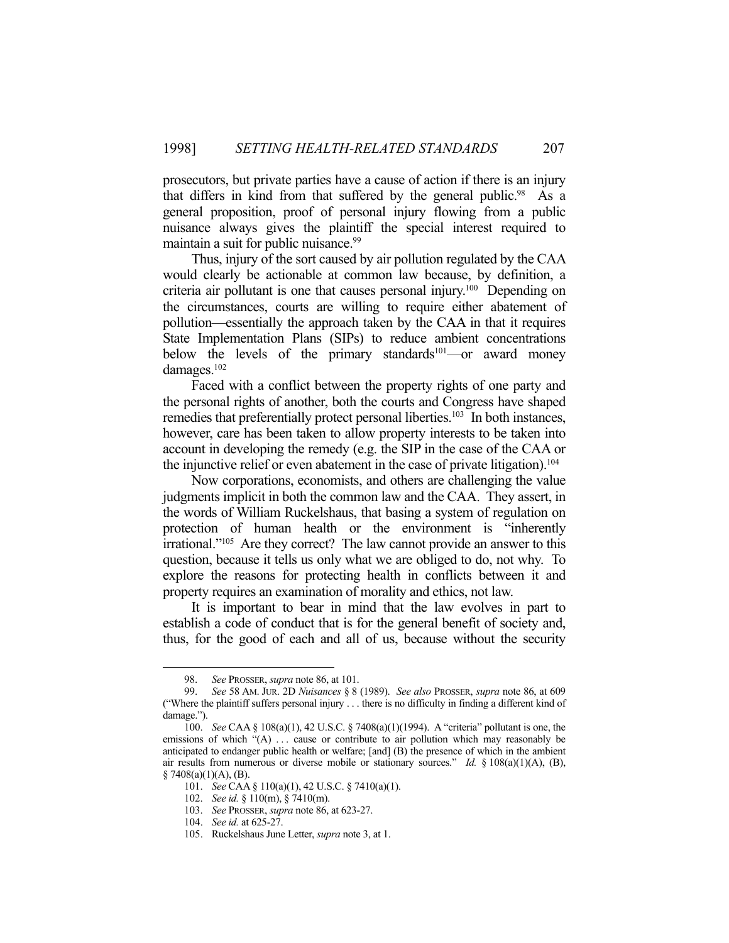prosecutors, but private parties have a cause of action if there is an injury that differs in kind from that suffered by the general public.<sup>98</sup> As a general proposition, proof of personal injury flowing from a public nuisance always gives the plaintiff the special interest required to maintain a suit for public nuisance.<sup>99</sup>

 Thus, injury of the sort caused by air pollution regulated by the CAA would clearly be actionable at common law because, by definition, a criteria air pollutant is one that causes personal injury.100 Depending on the circumstances, courts are willing to require either abatement of pollution—essentially the approach taken by the CAA in that it requires State Implementation Plans (SIPs) to reduce ambient concentrations below the levels of the primary standards<sup>101</sup>—or award money damages.<sup>102</sup>

 Faced with a conflict between the property rights of one party and the personal rights of another, both the courts and Congress have shaped remedies that preferentially protect personal liberties.<sup>103</sup> In both instances, however, care has been taken to allow property interests to be taken into account in developing the remedy (e.g. the SIP in the case of the CAA or the injunctive relief or even abatement in the case of private litigation).<sup>104</sup>

 Now corporations, economists, and others are challenging the value judgments implicit in both the common law and the CAA. They assert, in the words of William Ruckelshaus, that basing a system of regulation on protection of human health or the environment is "inherently irrational."105 Are they correct? The law cannot provide an answer to this question, because it tells us only what we are obliged to do, not why. To explore the reasons for protecting health in conflicts between it and property requires an examination of morality and ethics, not law.

 It is important to bear in mind that the law evolves in part to establish a code of conduct that is for the general benefit of society and, thus, for the good of each and all of us, because without the security

 <sup>98.</sup> *See* PROSSER, *supra* note 86, at 101.

 <sup>99.</sup> *See* 58 AM. JUR. 2D *Nuisances* § 8 (1989). *See also* PROSSER, *supra* note 86, at 609 ("Where the plaintiff suffers personal injury . . . there is no difficulty in finding a different kind of damage.").

 <sup>100.</sup> *See* CAA § 108(a)(1), 42 U.S.C. § 7408(a)(1)(1994). A "criteria" pollutant is one, the emissions of which "(A) ... cause or contribute to air pollution which may reasonably be anticipated to endanger public health or welfare; [and] (B) the presence of which in the ambient air results from numerous or diverse mobile or stationary sources." *Id.*  $\S 108(a)(1)(A)$ , (B),  $§ 7408(a)(1)(A), (B).$ 

 <sup>101.</sup> *See* CAA § 110(a)(1), 42 U.S.C. § 7410(a)(1).

 <sup>102.</sup> *See id.* § 110(m), § 7410(m).

 <sup>103.</sup> *See* PROSSER, *supra* note 86, at 623-27.

 <sup>104.</sup> *See id.* at 625-27.

 <sup>105.</sup> Ruckelshaus June Letter, *supra* note 3, at 1.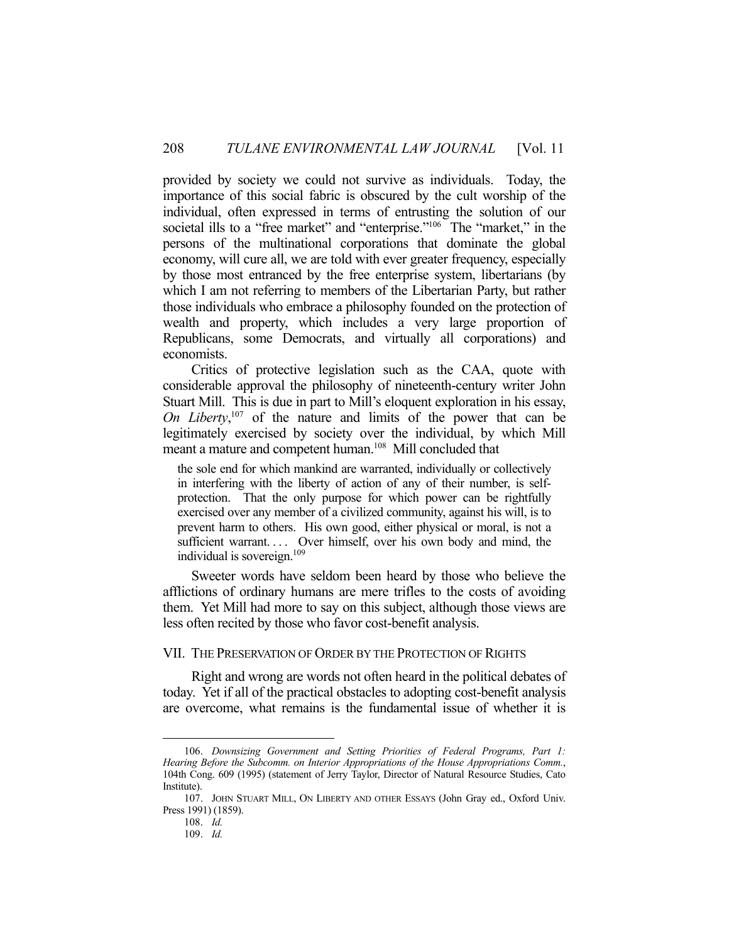provided by society we could not survive as individuals. Today, the importance of this social fabric is obscured by the cult worship of the individual, often expressed in terms of entrusting the solution of our societal ills to a "free market" and "enterprise."<sup>106</sup> The "market," in the persons of the multinational corporations that dominate the global economy, will cure all, we are told with ever greater frequency, especially by those most entranced by the free enterprise system, libertarians (by which I am not referring to members of the Libertarian Party, but rather those individuals who embrace a philosophy founded on the protection of wealth and property, which includes a very large proportion of Republicans, some Democrats, and virtually all corporations) and economists.

 Critics of protective legislation such as the CAA, quote with considerable approval the philosophy of nineteenth-century writer John Stuart Mill. This is due in part to Mill's eloquent exploration in his essay, *On Liberty*, 107 of the nature and limits of the power that can be legitimately exercised by society over the individual, by which Mill meant a mature and competent human.<sup>108</sup> Mill concluded that

the sole end for which mankind are warranted, individually or collectively in interfering with the liberty of action of any of their number, is selfprotection. That the only purpose for which power can be rightfully exercised over any member of a civilized community, against his will, is to prevent harm to others. His own good, either physical or moral, is not a sufficient warrant.... Over himself, over his own body and mind, the individual is sovereign.<sup>109</sup>

 Sweeter words have seldom been heard by those who believe the afflictions of ordinary humans are mere trifles to the costs of avoiding them. Yet Mill had more to say on this subject, although those views are less often recited by those who favor cost-benefit analysis.

#### VII. THE PRESERVATION OF ORDER BY THE PROTECTION OF RIGHTS

 Right and wrong are words not often heard in the political debates of today. Yet if all of the practical obstacles to adopting cost-benefit analysis are overcome, what remains is the fundamental issue of whether it is

 <sup>106.</sup> *Downsizing Government and Setting Priorities of Federal Programs, Part 1: Hearing Before the Subcomm. on Interior Appropriations of the House Appropriations Comm.*, 104th Cong. 609 (1995) (statement of Jerry Taylor, Director of Natural Resource Studies, Cato Institute).

 <sup>107.</sup> JOHN STUART MILL, ON LIBERTY AND OTHER ESSAYS (John Gray ed., Oxford Univ. Press 1991) (1859).

 <sup>108.</sup> *Id.*

 <sup>109.</sup> *Id.*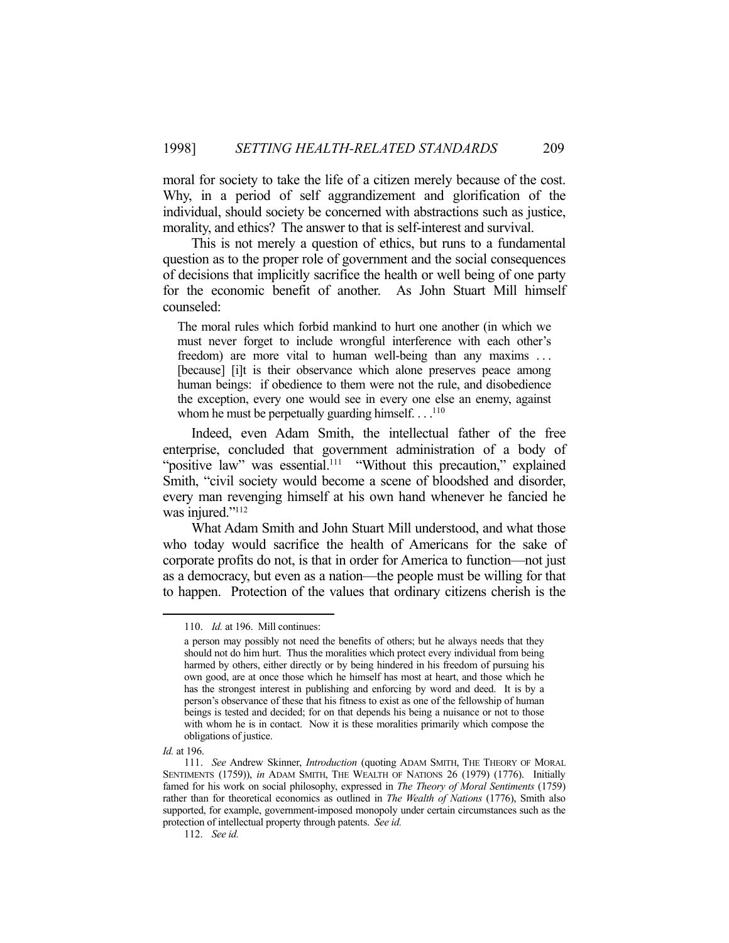moral for society to take the life of a citizen merely because of the cost. Why, in a period of self aggrandizement and glorification of the individual, should society be concerned with abstractions such as justice, morality, and ethics? The answer to that is self-interest and survival.

 This is not merely a question of ethics, but runs to a fundamental question as to the proper role of government and the social consequences of decisions that implicitly sacrifice the health or well being of one party for the economic benefit of another. As John Stuart Mill himself counseled:

The moral rules which forbid mankind to hurt one another (in which we must never forget to include wrongful interference with each other's freedom) are more vital to human well-being than any maxims . . . [because] [i]t is their observance which alone preserves peace among human beings: if obedience to them were not the rule, and disobedience the exception, every one would see in every one else an enemy, against whom he must be perpetually guarding himself.  $\dots$ <sup>110</sup>

 Indeed, even Adam Smith, the intellectual father of the free enterprise, concluded that government administration of a body of "positive law" was essential.<sup>111</sup> "Without this precaution," explained Smith, "civil society would become a scene of bloodshed and disorder, every man revenging himself at his own hand whenever he fancied he was injured."<sup>112</sup>

 What Adam Smith and John Stuart Mill understood, and what those who today would sacrifice the health of Americans for the sake of corporate profits do not, is that in order for America to function—not just as a democracy, but even as a nation—the people must be willing for that to happen. Protection of the values that ordinary citizens cherish is the

 <sup>110.</sup> *Id.* at 196. Mill continues:

a person may possibly not need the benefits of others; but he always needs that they should not do him hurt. Thus the moralities which protect every individual from being harmed by others, either directly or by being hindered in his freedom of pursuing his own good, are at once those which he himself has most at heart, and those which he has the strongest interest in publishing and enforcing by word and deed. It is by a person's observance of these that his fitness to exist as one of the fellowship of human beings is tested and decided; for on that depends his being a nuisance or not to those with whom he is in contact. Now it is these moralities primarily which compose the obligations of justice.

*Id.* at 196.

 <sup>111.</sup> *See* Andrew Skinner, *Introduction* (quoting ADAM SMITH, THE THEORY OF MORAL SENTIMENTS (1759)), *in* ADAM SMITH, THE WEALTH OF NATIONS 26 (1979) (1776). Initially famed for his work on social philosophy, expressed in *The Theory of Moral Sentiments* (1759) rather than for theoretical economics as outlined in *The Wealth of Nations* (1776), Smith also supported, for example, government-imposed monopoly under certain circumstances such as the protection of intellectual property through patents. *See id.*

 <sup>112.</sup> *See id.*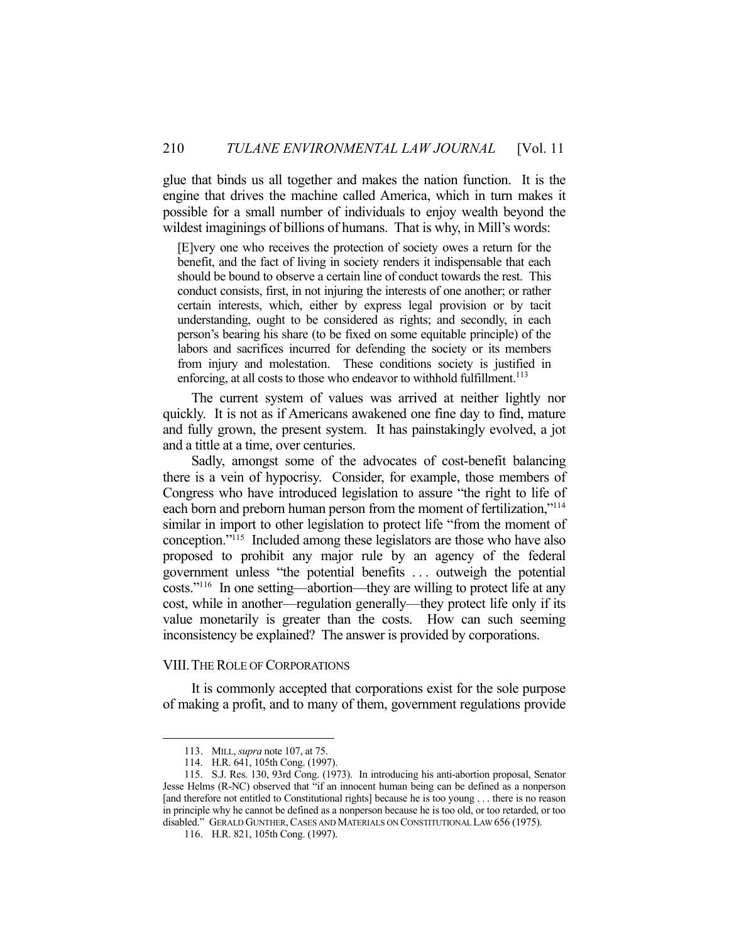glue that binds us all together and makes the nation function. It is the engine that drives the machine called America, which in turn makes it possible for a small number of individuals to enjoy wealth beyond the wildest imaginings of billions of humans. That is why, in Mill's words:

[E]very one who receives the protection of society owes a return for the benefit, and the fact of living in society renders it indispensable that each should be bound to observe a certain line of conduct towards the rest. This conduct consists, first, in not injuring the interests of one another; or rather certain interests, which, either by express legal provision or by tacit understanding, ought to be considered as rights; and secondly, in each person's bearing his share (to be fixed on some equitable principle) of the labors and sacrifices incurred for defending the society or its members from injury and molestation. These conditions society is justified in enforcing, at all costs to those who endeavor to withhold fulfillment.<sup>113</sup>

 The current system of values was arrived at neither lightly nor quickly. It is not as if Americans awakened one fine day to find, mature and fully grown, the present system. It has painstakingly evolved, a jot and a tittle at a time, over centuries.

 Sadly, amongst some of the advocates of cost-benefit balancing there is a vein of hypocrisy. Consider, for example, those members of Congress who have introduced legislation to assure "the right to life of each born and preborn human person from the moment of fertilization,"114 similar in import to other legislation to protect life "from the moment of conception."115 Included among these legislators are those who have also proposed to prohibit any major rule by an agency of the federal government unless "the potential benefits . . . outweigh the potential costs."116 In one setting—abortion—they are willing to protect life at any cost, while in another—regulation generally—they protect life only if its value monetarily is greater than the costs. How can such seeming inconsistency be explained? The answer is provided by corporations.

## VIII. THE ROLE OF CORPORATIONS

 It is commonly accepted that corporations exist for the sole purpose of making a profit, and to many of them, government regulations provide

 <sup>113.</sup> MILL, *supra* note 107, at 75.

 <sup>114.</sup> H.R. 641, 105th Cong. (1997).

 <sup>115.</sup> S.J. Res. 130, 93rd Cong. (1973). In introducing his anti-abortion proposal, Senator Jesse Helms (R-NC) observed that "if an innocent human being can be defined as a nonperson [and therefore not entitled to Constitutional rights] because he is too young . . . there is no reason in principle why he cannot be defined as a nonperson because he is too old, or too retarded, or too disabled." GERALD GUNTHER,CASES AND MATERIALS ON CONSTITUTIONAL LAW 656 (1975).

 <sup>116.</sup> H.R. 821, 105th Cong. (1997).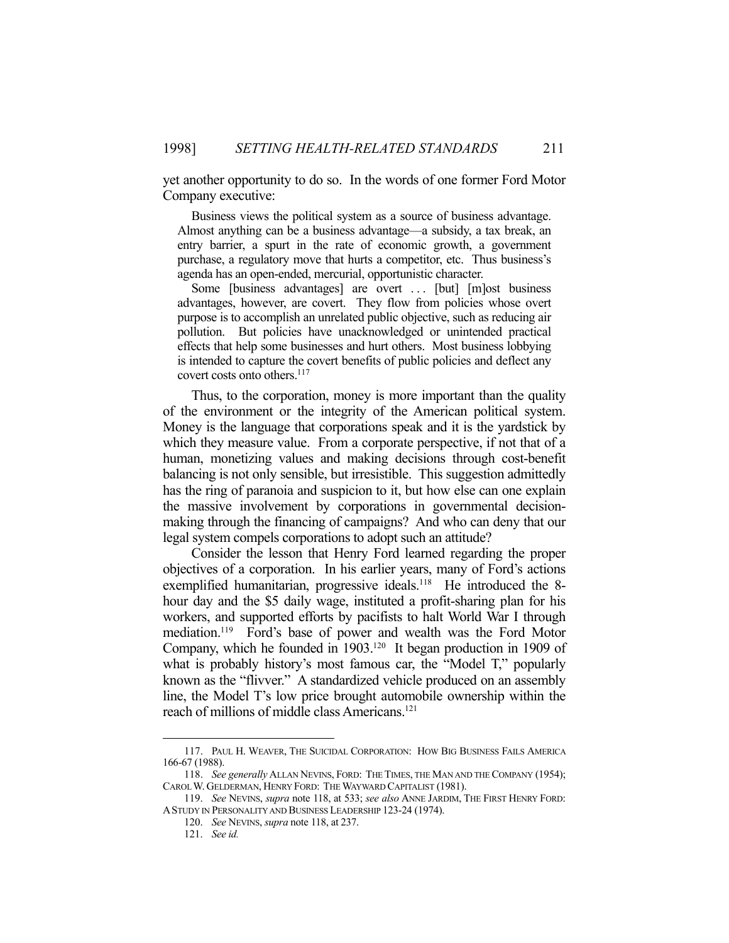yet another opportunity to do so. In the words of one former Ford Motor Company executive:

 Business views the political system as a source of business advantage. Almost anything can be a business advantage—a subsidy, a tax break, an entry barrier, a spurt in the rate of economic growth, a government purchase, a regulatory move that hurts a competitor, etc. Thus business's agenda has an open-ended, mercurial, opportunistic character.

 Some [business advantages] are overt . . . [but] [m]ost business advantages, however, are covert. They flow from policies whose overt purpose is to accomplish an unrelated public objective, such as reducing air pollution. But policies have unacknowledged or unintended practical effects that help some businesses and hurt others. Most business lobbying is intended to capture the covert benefits of public policies and deflect any covert costs onto others.<sup>117</sup>

 Thus, to the corporation, money is more important than the quality of the environment or the integrity of the American political system. Money is the language that corporations speak and it is the yardstick by which they measure value. From a corporate perspective, if not that of a human, monetizing values and making decisions through cost-benefit balancing is not only sensible, but irresistible. This suggestion admittedly has the ring of paranoia and suspicion to it, but how else can one explain the massive involvement by corporations in governmental decisionmaking through the financing of campaigns? And who can deny that our legal system compels corporations to adopt such an attitude?

 Consider the lesson that Henry Ford learned regarding the proper objectives of a corporation. In his earlier years, many of Ford's actions exemplified humanitarian, progressive ideals.<sup>118</sup> He introduced the 8hour day and the \$5 daily wage, instituted a profit-sharing plan for his workers, and supported efforts by pacifists to halt World War I through mediation.<sup>119</sup> Ford's base of power and wealth was the Ford Motor Company, which he founded in 1903.120 It began production in 1909 of what is probably history's most famous car, the "Model T," popularly known as the "flivver." A standardized vehicle produced on an assembly line, the Model T's low price brought automobile ownership within the reach of millions of middle class Americans.121

 <sup>117.</sup> PAUL H. WEAVER, THE SUICIDAL CORPORATION: HOW BIG BUSINESS FAILS AMERICA 166-67 (1988).

 <sup>118.</sup> *See generally* ALLAN NEVINS, FORD: THE TIMES, THE MAN AND THE COMPANY (1954); CAROL W. GELDERMAN, HENRY FORD: THE WAYWARD CAPITALIST (1981).

 <sup>119.</sup> *See* NEVINS, *supra* note 118, at 533; *see also* ANNE JARDIM, THE FIRST HENRY FORD: ASTUDY IN PERSONALITY AND BUSINESS LEADERSHIP 123-24 (1974).

 <sup>120.</sup> *See* NEVINS, *supra* note 118, at 237.

 <sup>121.</sup> *See id.*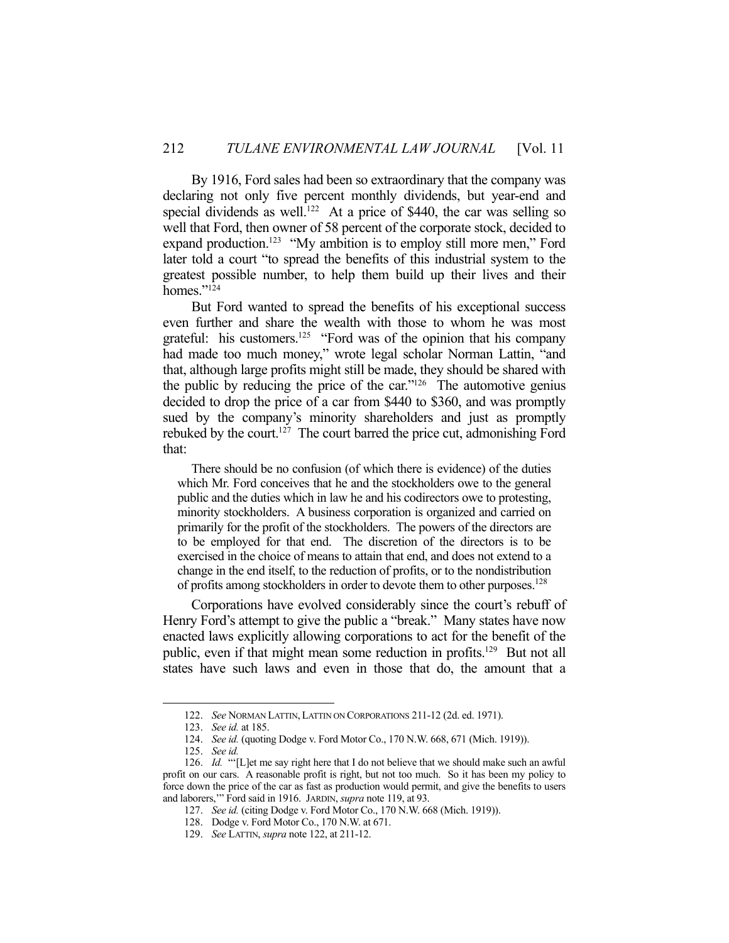By 1916, Ford sales had been so extraordinary that the company was declaring not only five percent monthly dividends, but year-end and special dividends as well.<sup>122</sup> At a price of \$440, the car was selling so well that Ford, then owner of 58 percent of the corporate stock, decided to expand production.<sup>123</sup> "My ambition is to employ still more men," Ford later told a court "to spread the benefits of this industrial system to the greatest possible number, to help them build up their lives and their homes."<sup>124</sup>

 But Ford wanted to spread the benefits of his exceptional success even further and share the wealth with those to whom he was most grateful: his customers.<sup>125</sup> "Ford was of the opinion that his company had made too much money," wrote legal scholar Norman Lattin, "and that, although large profits might still be made, they should be shared with the public by reducing the price of the car." $126$  The automotive genius decided to drop the price of a car from \$440 to \$360, and was promptly sued by the company's minority shareholders and just as promptly rebuked by the court.<sup>127</sup> The court barred the price cut, admonishing Ford that:

 There should be no confusion (of which there is evidence) of the duties which Mr. Ford conceives that he and the stockholders owe to the general public and the duties which in law he and his codirectors owe to protesting, minority stockholders. A business corporation is organized and carried on primarily for the profit of the stockholders. The powers of the directors are to be employed for that end. The discretion of the directors is to be exercised in the choice of means to attain that end, and does not extend to a change in the end itself, to the reduction of profits, or to the nondistribution of profits among stockholders in order to devote them to other purposes.<sup>128</sup>

 Corporations have evolved considerably since the court's rebuff of Henry Ford's attempt to give the public a "break." Many states have now enacted laws explicitly allowing corporations to act for the benefit of the public, even if that might mean some reduction in profits.<sup>129</sup> But not all states have such laws and even in those that do, the amount that a

 <sup>122.</sup> *See* NORMAN LATTIN, LATTIN ON CORPORATIONS 211-12 (2d. ed. 1971).

 <sup>123.</sup> *See id.* at 185.

 <sup>124.</sup> *See id.* (quoting Dodge v. Ford Motor Co., 170 N.W. 668, 671 (Mich. 1919)).

 <sup>125.</sup> *See id.*

 <sup>126.</sup> *Id.* "'[L]et me say right here that I do not believe that we should make such an awful profit on our cars. A reasonable profit is right, but not too much. So it has been my policy to force down the price of the car as fast as production would permit, and give the benefits to users and laborers,'" Ford said in 1916. JARDIN, *supra* note 119, at 93.

 <sup>127.</sup> *See id.* (citing Dodge v. Ford Motor Co., 170 N.W. 668 (Mich. 1919)).

 <sup>128.</sup> Dodge v. Ford Motor Co., 170 N.W. at 671.

 <sup>129.</sup> *See* LATTIN, *supra* note 122, at 211-12.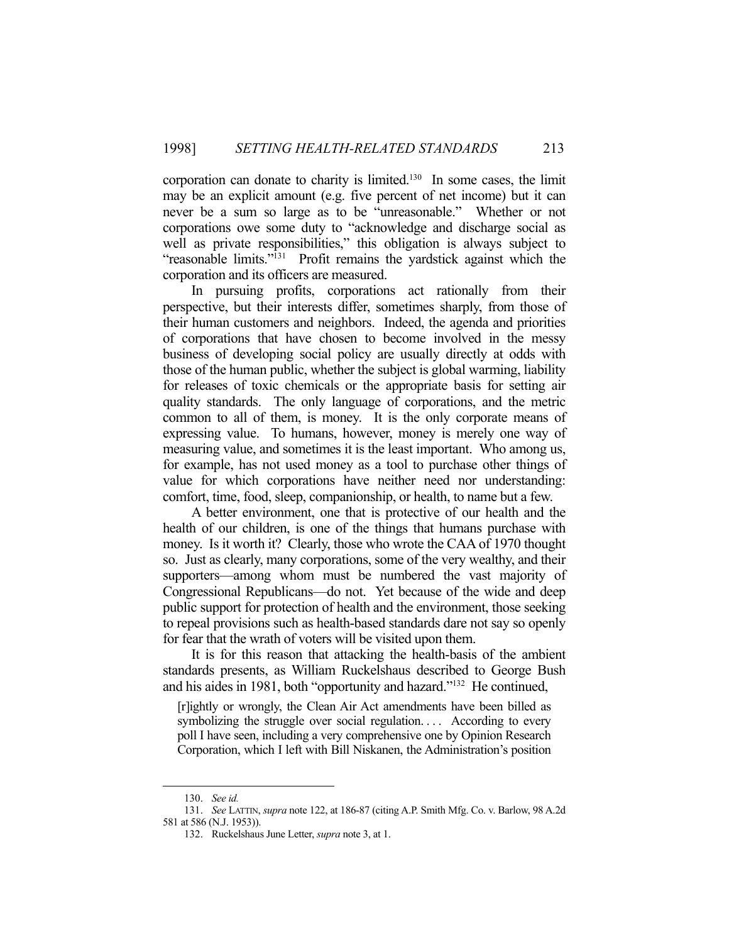corporation can donate to charity is limited.130 In some cases, the limit may be an explicit amount (e.g. five percent of net income) but it can never be a sum so large as to be "unreasonable." Whether or not corporations owe some duty to "acknowledge and discharge social as well as private responsibilities," this obligation is always subject to "reasonable limits."131 Profit remains the yardstick against which the corporation and its officers are measured.

 In pursuing profits, corporations act rationally from their perspective, but their interests differ, sometimes sharply, from those of their human customers and neighbors. Indeed, the agenda and priorities of corporations that have chosen to become involved in the messy business of developing social policy are usually directly at odds with those of the human public, whether the subject is global warming, liability for releases of toxic chemicals or the appropriate basis for setting air quality standards. The only language of corporations, and the metric common to all of them, is money. It is the only corporate means of expressing value. To humans, however, money is merely one way of measuring value, and sometimes it is the least important. Who among us, for example, has not used money as a tool to purchase other things of value for which corporations have neither need nor understanding: comfort, time, food, sleep, companionship, or health, to name but a few.

 A better environment, one that is protective of our health and the health of our children, is one of the things that humans purchase with money. Is it worth it? Clearly, those who wrote the CAA of 1970 thought so. Just as clearly, many corporations, some of the very wealthy, and their supporters—among whom must be numbered the vast majority of Congressional Republicans—do not. Yet because of the wide and deep public support for protection of health and the environment, those seeking to repeal provisions such as health-based standards dare not say so openly for fear that the wrath of voters will be visited upon them.

 It is for this reason that attacking the health-basis of the ambient standards presents, as William Ruckelshaus described to George Bush and his aides in 1981, both "opportunity and hazard."132 He continued,

[r]ightly or wrongly, the Clean Air Act amendments have been billed as symbolizing the struggle over social regulation.... According to every poll I have seen, including a very comprehensive one by Opinion Research Corporation, which I left with Bill Niskanen, the Administration's position

 <sup>130.</sup> *See id.*

 <sup>131.</sup> *See* LATTIN, *supra* note 122, at 186-87 (citing A.P. Smith Mfg. Co. v. Barlow, 98 A.2d 581 at 586 (N.J. 1953)).

 <sup>132.</sup> Ruckelshaus June Letter, *supra* note 3, at 1.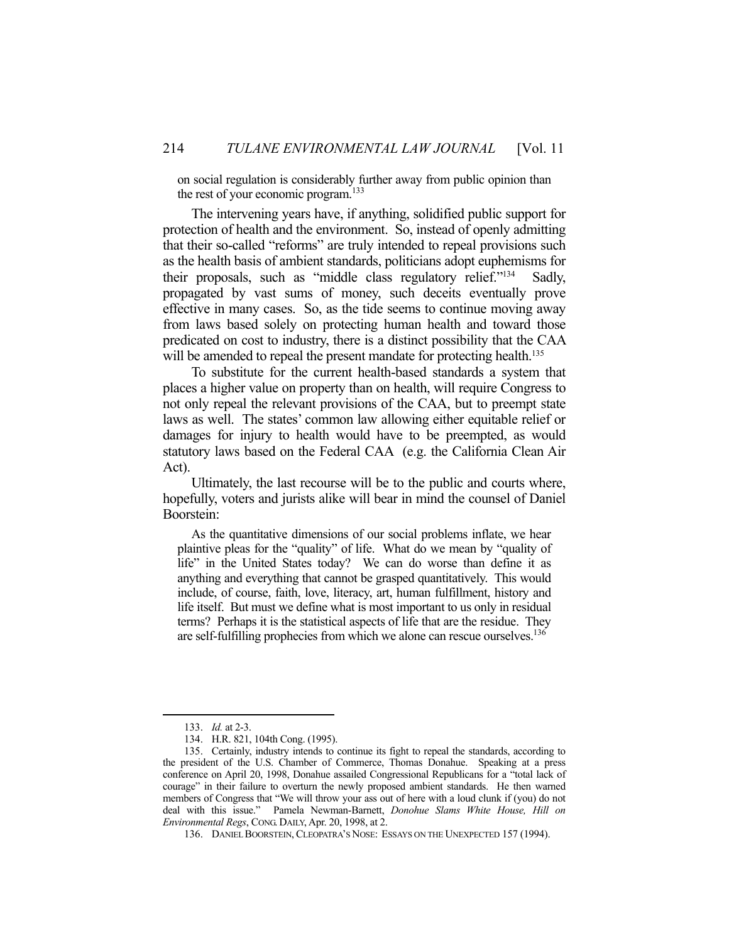on social regulation is considerably further away from public opinion than the rest of your economic program. $133$ 

 The intervening years have, if anything, solidified public support for protection of health and the environment. So, instead of openly admitting that their so-called "reforms" are truly intended to repeal provisions such as the health basis of ambient standards, politicians adopt euphemisms for their proposals, such as "middle class regulatory relief."134 Sadly, propagated by vast sums of money, such deceits eventually prove effective in many cases. So, as the tide seems to continue moving away from laws based solely on protecting human health and toward those predicated on cost to industry, there is a distinct possibility that the CAA will be amended to repeal the present mandate for protecting health.<sup>135</sup>

 To substitute for the current health-based standards a system that places a higher value on property than on health, will require Congress to not only repeal the relevant provisions of the CAA, but to preempt state laws as well. The states' common law allowing either equitable relief or damages for injury to health would have to be preempted, as would statutory laws based on the Federal CAA (e.g. the California Clean Air Act).

 Ultimately, the last recourse will be to the public and courts where, hopefully, voters and jurists alike will bear in mind the counsel of Daniel Boorstein:

 As the quantitative dimensions of our social problems inflate, we hear plaintive pleas for the "quality" of life. What do we mean by "quality of life" in the United States today? We can do worse than define it as anything and everything that cannot be grasped quantitatively. This would include, of course, faith, love, literacy, art, human fulfillment, history and life itself. But must we define what is most important to us only in residual terms? Perhaps it is the statistical aspects of life that are the residue. They are self-fulfilling prophecies from which we alone can rescue ourselves.<sup>136</sup>

 <sup>133.</sup> *Id.* at 2-3.

 <sup>134.</sup> H.R. 821, 104th Cong. (1995).

 <sup>135.</sup> Certainly, industry intends to continue its fight to repeal the standards, according to the president of the U.S. Chamber of Commerce, Thomas Donahue. Speaking at a press conference on April 20, 1998, Donahue assailed Congressional Republicans for a "total lack of courage" in their failure to overturn the newly proposed ambient standards. He then warned members of Congress that "We will throw your ass out of here with a loud clunk if (you) do not deal with this issue." Pamela Newman-Barnett, *Donohue Slams White House, Hill on Environmental Regs*, CONG. DAILY, Apr. 20, 1998, at 2.

 <sup>136.</sup> DANIEL BOORSTEIN,CLEOPATRA'S NOSE: ESSAYS ON THE UNEXPECTED 157 (1994).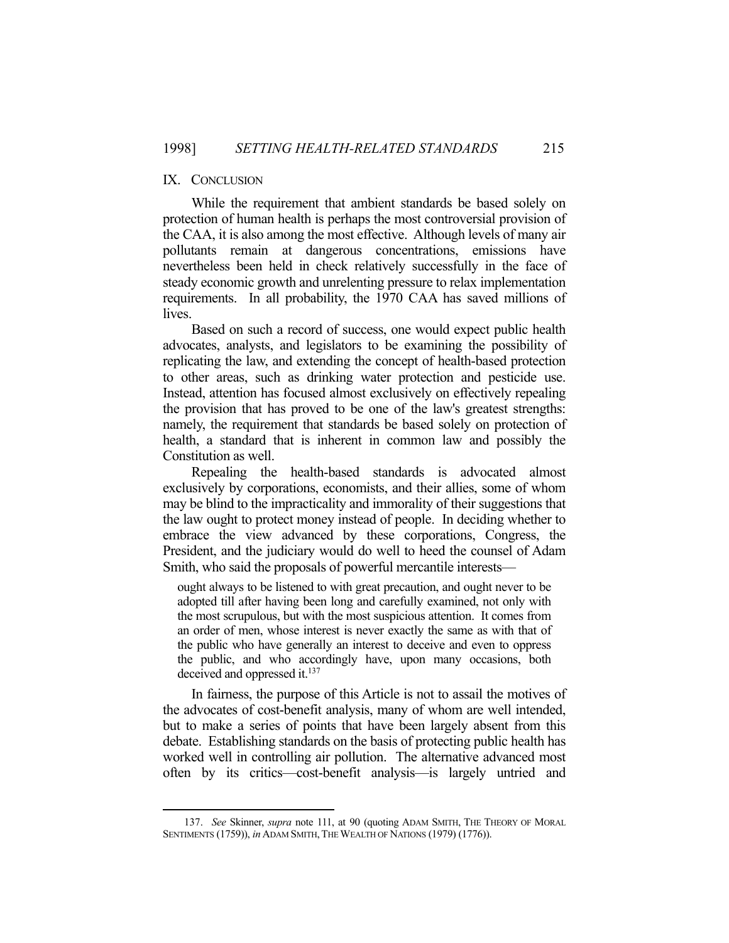## IX. CONCLUSION

1

 While the requirement that ambient standards be based solely on protection of human health is perhaps the most controversial provision of the CAA, it is also among the most effective. Although levels of many air pollutants remain at dangerous concentrations, emissions have nevertheless been held in check relatively successfully in the face of steady economic growth and unrelenting pressure to relax implementation requirements. In all probability, the 1970 CAA has saved millions of lives.

 Based on such a record of success, one would expect public health advocates, analysts, and legislators to be examining the possibility of replicating the law, and extending the concept of health-based protection to other areas, such as drinking water protection and pesticide use. Instead, attention has focused almost exclusively on effectively repealing the provision that has proved to be one of the law's greatest strengths: namely, the requirement that standards be based solely on protection of health, a standard that is inherent in common law and possibly the Constitution as well.

 Repealing the health-based standards is advocated almost exclusively by corporations, economists, and their allies, some of whom may be blind to the impracticality and immorality of their suggestions that the law ought to protect money instead of people. In deciding whether to embrace the view advanced by these corporations, Congress, the President, and the judiciary would do well to heed the counsel of Adam Smith, who said the proposals of powerful mercantile interests—

ought always to be listened to with great precaution, and ought never to be adopted till after having been long and carefully examined, not only with the most scrupulous, but with the most suspicious attention. It comes from an order of men, whose interest is never exactly the same as with that of the public who have generally an interest to deceive and even to oppress the public, and who accordingly have, upon many occasions, both deceived and oppressed it.<sup>137</sup>

 In fairness, the purpose of this Article is not to assail the motives of the advocates of cost-benefit analysis, many of whom are well intended, but to make a series of points that have been largely absent from this debate. Establishing standards on the basis of protecting public health has worked well in controlling air pollution. The alternative advanced most often by its critics—cost-benefit analysis—is largely untried and

 <sup>137.</sup> *See* Skinner, *supra* note 111, at 90 (quoting ADAM SMITH, THE THEORY OF MORAL SENTIMENTS (1759)), *in* ADAM SMITH, THE WEALTH OF NATIONS (1979) (1776)).